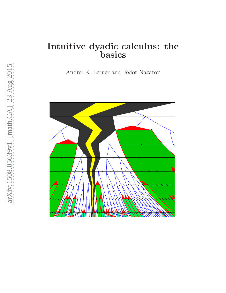# Intuitive dyadic calculus: the basics

Andrei K. Lerner and Fedor Nazarov

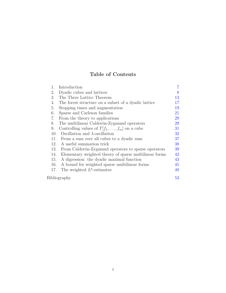# Table of Contents

| 1.<br>Introduction                                            | $\overline{7}$ |
|---------------------------------------------------------------|----------------|
| Dyadic cubes and lattices<br>2.                               | 8              |
| The Three Lattice Theorem<br>3.                               | 13             |
| The forest structure on a subset of a dyadic lattice<br>4.    | 17             |
| 5.<br>Stopping times and augmentation                         | 19             |
| Sparse and Carleson families<br>6.                            | 21             |
| From the theory to applications<br>7.                         | 29             |
| The multilinear Calderón-Zygmund operators<br>8.              | 29             |
| Controlling values of $T[f_1,\ldots,f_m]$ on a cube<br>9.     | 31             |
| Oscillation and $\lambda$ -oscillation<br>10.                 | 32             |
| From a sum over all cubes to a dyadic sum<br>11.              | 37             |
| 12.<br>A useful summation trick                               | 38             |
| 13.<br>From Calderón-Zygmund operators to sparse operators    | 39             |
| Elementary weighted theory of sparse multilinear forms<br>14. | 42             |
| A digression: the dyadic maximal function<br>15.              | 43             |
| A bound for weighted sparse multilinear forms<br>16.          | 45             |
| The weighted $L^p$ -estimates<br>17.                          | 48             |
| Bibliography                                                  | 53             |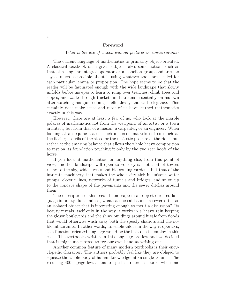# Foreword

*What is the use of a book without pictures or conversations?*

The current language of mathematics is primarily object-oriented. A classical textbook on a given subject takes some notion, such as that of a singular integral operator or an abelian group and tries to say as much as possible about it using whatever tools are needed for each particular lemma or proposition. The hope seems to be that the reader will be fascinated enough with the wide landscape that slowly unfolds before his eyes to learn to jump over trenches, climb trees and slopes, and wade through thickets and streams essentially on his own after watching his guide doing it effortlessly and with elegance. This certainly does make sense and most of us have learned mathematics exactly in this way.

However, there are at least a few of us, who look at the marble palaces of mathematics not from the viewpoint of an artist or a town architect, but from that of a mason, a carpenter, or an engineer. When looking at an equine statue, such a person marvels not so much at the flaring nostrils of the steed or the majestic posture of the rider, but rather at the amazing balance that allows the whole heavy composition to rest on its foundation touching it only by the two rear hoofs of the horse.

If you look at mathematics, or anything else, from this point of view, another landscape will open to your eyes: not that of towers rising to the sky, wide streets and blossoming gardens, but that of the intricate machinery that makes the whole city tick in unison: water pumps, electric lines, networks of tunnels and bridges, and so on up to the concave shape of the pavements and the sewer ditches around them.

The description of this second landscape in an object-oriented language is pretty dull. Indeed, what can be said about a sewer ditch as an isolated object that is interesting enough to merit a discussion? Its beauty reveals itself only in the way it works in a heavy rain keeping the glossy boulevards and the shiny buildings around it safe from floods that would otherwise wash away both the speedy chariots and the noble inhabitants. In other words, its whole tale is in the way it operates, so a function-oriented language would be the best one to employ in this case. The textbooks written in this language are few and we decided that it might make sense to try our own hand at writing one.

Another common feature of many modern textbooks is their encyclopedic character. The authors probably feel like they are obliged to squeeze the whole body of human knowledge into a single volume. The resulting 400+ page leviathans are perfect reference books when one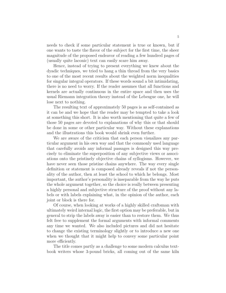needs to check if some particular statement is true or known, but if one wants to taste the flavor of the subject for the first time, the sheer magnitude of the proposed endeavor of reading a few hundred pages of (usually quite laconic) text can easily scare him away.

Hence, instead of trying to present everything we knew about the dyadic techniques, we tried to hang a thin thread from the very basics to one of the most recent results about the weighted norm inequalities for singular integral operators. If these words sound a bit intimidating, there is no need to worry. If the reader assumes that all functions and kernels are actually continuous in the entire space and then uses the usual Riemann integration theory instead of the Lebesgue one, he will lose next to nothing.

The resulting text of approximately 50 pages is as self-contained as it can be and we hope that the reader may be tempted to take a look at something this short. It is also worth mentioning that quite a few of those 50 pages are devoted to explanations of why this or that should be done in some or other particular way. Without these explanations and the illustrations this book would shrink even further.

We are aware of the criticism that each person visualizes any particular argument in his own way and that the commonly used language that carefully avoids any informal passages is designed this way precisely to eliminate the superposition of any subjective views or associations onto the pristinely objective chains of syllogisms. However, we have never seen those pristine chains anywhere. The way every single definition or statement is composed already reveals if not the personality of the author, then at least the school to which he belongs. Most important, the author's personality is inseparable from the way he puts the whole argument together, so the choice is really between presenting a highly personal and subjective structure of the proof without any labels or with labels explaining what, in the opinion of the author, each joint or block is there for.

Of course, when looking at works of a highly skilled craftsman with ultimately weird internal logic, the first option may be preferable, but in general to strip the labels away is easier than to restore them. We thus felt free to supplement the formal arguments with informal comments any time we wanted. We also included pictures and did not hesitate to change the existing terminology slightly or to introduce a new one when we thought that it might help to convey some particular point more efficiently.

The title comes partly as a challenge to some modern calculus textbook writers whose 3-pound bricks, all coming out of the same kiln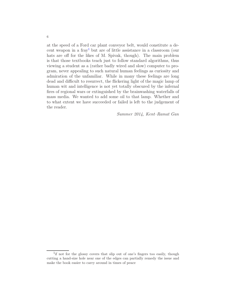at the speed of a Ford car plant conveyor belt, would constitute a decent weapon in a fray[1](#page-5-0) but are of little assistance in a classroom (our hats are off for the likes of M. Spivak, though). The main problem is that those textbooks teach just to follow standard algorithms, thus viewing a student as a (rather badly wired and slow) computer to program, never appealing to such natural human feelings as curiosity and admiration of the unfamiliar. While in many these feelings are long dead and difficult to resurrect, the flickering light of the magic lamp of human wit and intelligence is not yet totally obscured by the infernal fires of regional wars or extinguished by the brainwashing waterfalls of mass media. We wanted to add some oil to that lamp. Whether and to what extent we have succeeded or failed is left to the judgement of the reader.

*Summer 2014, Kent–Ramat Gan*

<span id="page-5-0"></span><sup>&</sup>lt;sup>1</sup>if not for the glossy covers that slip out of one's fingers too easily, though cutting a hand-size hole near one of the edges can partially remedy the issue and make the book easier to carry around in times of peace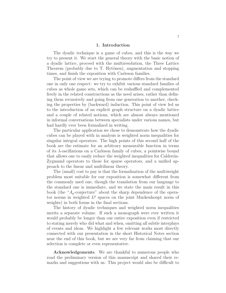# 1. Introduction

<span id="page-6-0"></span>The dyadic technique is a game of cubes, and this is the way we try to present it. We start the general theory with the basic notion of a dyadic lattice, proceed with the multiresolution, the Three Lattice Theorem (probably due to T. Hytönen), augmentation and stopping times, and finish the exposition with Carleson families.

The point of view we are trying to promote differs from the standard one in only one respect: we try to exhibit various standard families of cubes as whole game sets, which can be reshuffled and complemented freely in the related constructions as the need arises, rather than defining them recursively and going from one generation to another, checking the properties by (backward) induction. This point of view led us to the introduction of an explicit graph structure on a dyadic lattice and a couple of related notions, which are almost always mentioned in informal conversations between specialists under various names, but had hardly ever been formalized in writing.

The particular application we chose to demonstrate how the dyadic cubes can be played with in analysis is weighted norm inequalities for singular integral operators. The high points of this second half of the book are the estimate for an arbitrary measurable function in terms of its λ-oscillations on a Carleson family of cubes, a pointwise bound that allows one to easily reduce the weighted inequalities for Calderon-Zygmund operators to those for sparse operators, and a unified approach to the linear and multilinear theory.

The (small) cost to pay is that the formalization of the multiweight problem most suitable for our exposition is somewhat different from the commonly used one, though the translation from our language to the standard one is immediate, and we state the main result in this book (the " $A_p$ -conjecture" about the sharp dependence of the operator norms in weighted  $L^p$  spaces on the joint Muckenhoupt norm of weights) in both forms in the final sections.

The history of dyadic techniques and weighted norm inequalities merits a separate volume. If such a monograph were ever written it would probably be longer than our entire exposition even if restricted to stating merely who did what and when, omitting all subtle interplays of events and ideas. We highlight a few relevant works most directly connected with our presentation in the short Historical Notes section near the end of this book, but we are very far from claiming that our selection is complete or even representative.

Acknowledgements. We are thankful to numerous people who read the preliminary version of this manuscript and shared their remarks and suggestions with us. This project would also be difficult to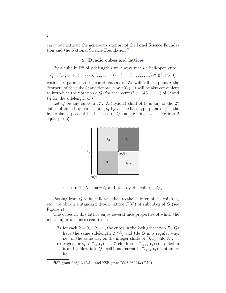<span id="page-7-0"></span>carry out without the genereous support of the Israel Science Foundation and the National Science Foundation [2](#page-7-1) .

# 2. Dyadic cubes and lattices

By a cube in  $\mathbb{R}^n$  of sidelength l we always mean a half-open cube

$$
Q = [x_1, x_1 + l) \times \cdots \times [x_n, x_n + l) \quad (x = (x_1, \ldots, x_n) \in \mathbb{R}^n, l > 0)
$$

with sides parallel to the coordinate axes. We will call the point  $x$  the "corner" of the cube Q and denote it by  $x(Q)$ . It will be also convenient to introduce the notation  $c(Q)$  for the "center"  $x + \frac{1}{2}$  $\frac{1}{2}(l,\ldots,l)$  of Q and  $\ell_Q$  for the sidelength of  $Q$ .

Let Q be any cube in  $\mathbb{R}^n$ . A (dyadic) child of Q is any of the  $2^n$ cubes obtained by partitioning  $Q$  by  $n$  "median hyperplanes" (i.e., the hyperplanes parallel to the faces of Q and dividing each edge into 2 equal parts).



FIGURE 1. A square Q and its 4 dyadic children  $Q_{ij}$ .

Passing from Q to its children, then to the children of the children, etc., we obtain a standard dyadic lattice  $\mathcal{D}(Q)$  of subcubes of Q (see Figure [2\)](#page-8-0).

The cubes in this lattice enjoy several nice properties of which the most important ones seem to be

- (i) for each  $k = 0, 1, 2, \ldots$ , the cubes in the k-th generation  $\mathcal{D}_k(Q)$ have the same sidelength  $2^{-k}\ell_Q$  and tile  $Q$  in a regular way, i.e., in the same way as the integer shifts of  $[0,1)^n$  tile  $\mathbb{R}^n$ ;
- (ii) each cube  $Q' \in \mathcal{D}_k(Q)$  has  $2^n$  children in  $\mathcal{D}_{k+1}(Q)$  contained in it and (unless it is Q itself) one parent in  $\mathcal{D}_{k-1}(Q)$  containing it;

<span id="page-7-1"></span><sup>2</sup> ISF grant 953/13 (A.L.) and NSF grant DMS 080243 (F.N.)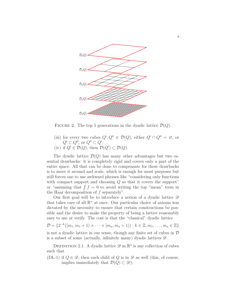

<span id="page-8-0"></span>FIGURE 2. The top 5 generations in the dyadic lattice  $\mathcal{D}(Q)$ .

- (iii) for every two cubes  $Q', Q'' \in \mathcal{D}(Q)$ , either  $Q' \cap Q'' = \emptyset$ , or  $Q' \subset Q'',$  or  $Q'' \subset Q';$
- (iv) if  $Q' \in \mathcal{D}(Q)$ , then  $\mathcal{D}(Q') \subset \mathcal{D}(Q)$ .

The dyadic lattice  $\mathcal{D}(Q)$  has many other advantages but two essential drawbacks: it is completely rigid and covers only a part of the entire space. All that can be done to compensate for these drawbacks is to move it around and scale, which is enough for most purposes but still forces one to use awkward phrases like "considering only functions with compact support and choosing Q so that it covers the support" or "assuming that  $\int f = 0$  to avoid writing the top "mean" term in the Haar decomposition of  $f$  separately".

Our first goal will be to introduce a notion of a dyadic lattice  $\mathscr D$ that takes care of all  $\mathbb{R}^n$  at once. Our particular choice of axioms was dictated by the necessity to ensure that certain constructions be possible and the desire to make the property of being a lattice reasonably easy to use or verify. The cost is that the "classical" dyadic lattice

$$
\mathcal{D} = \{2^{-k}([m_1, m_1 + 1) \times \cdots \times [m_n, m_n + 1)) : k \in \mathbb{Z}, m_1, \ldots, m_n \in \mathbb{Z}\}\
$$

is not a dyadic lattice in our sense, though any finite set of cubes in  $D$ is a subset of some (actually, infinitely many) dyadic lattices  $\mathscr{D}$ .

<span id="page-8-1"></span>DEFINITION 2.1. A dyadic lattice  $\mathscr{D}$  in  $\mathbb{R}^n$  is any collection of cubes such that

(DL-1) if  $Q \in \mathscr{D}$ , then each child of Q is in  $\mathscr{D}$  as well (this, of course, implies immediately that  $\mathcal{D}(Q) \subset \mathcal{D}$ ;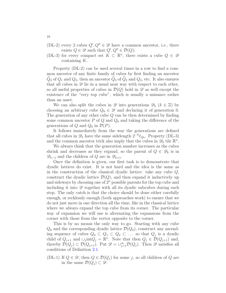- (DL-2) every 2 cubes  $Q', Q'' \in \mathscr{D}$  have a common ancestor, i.e., there exists  $Q \in \mathscr{D}$  such that  $Q', Q'' \in \mathcal{D}(Q)$ ;
- (DL-3) for every compact set  $K \subset \mathbb{R}^n$ , there exists a cube  $Q \in \mathscr{D}$ containing K.

Property (DL-2) can be used several times in a row to find a common ancestor of any finite family of cubes by first finding an ancestor  $Q_2$  of  $Q_1$  and  $Q_2$ , then an ancestor  $Q_3$  of  $Q_2$  and  $Q_3$ , etc. It also ensures that all cubes in  $\mathscr D$  lie in a usual neat way with respect to each other, so all useful properties of cubes in  $\mathcal{D}(Q)$  hold in  $\mathcal{D}$  as well except the existence of the "very top cube", which is usually a nuisance rather than an asset.

We can also split the cubes in  $\mathscr{D}$  into generations  $\mathscr{D}_k$  ( $k \in \mathbb{Z}$ ) by choosing an arbitrary cube  $Q_0 \in \mathscr{D}$  and declaring it of generation 0. The generation of any other cube Q can be then determined by finding some common ancestor  $P$  of  $Q$  and  $Q_0$  and taking the difference of the generations of  $Q$  and  $Q_0$  in  $\mathcal{D}(P)$ .

It follows immediately from the way the generations are defined that all cubes in  $\mathscr{D}_k$  have the same sidelength  $2^{-k}\ell_{Q_0}$ . Property (DL-3) and the common ancestor trick also imply that the cubes in  $\mathscr{D}_k$  tile  $\mathbb{R}^n$ .

We always think that the generation number increases as the cubes shrink and decreases as they expand, so the parent of  $Q \in \mathscr{D}_k$  is in  $\mathscr{D}_{k-1}$  and the children of Q are in  $\mathscr{D}_{k+1}$ .

Once the definition is given, our first task is to demonstrate that dyadic lattices do exist. It is not hard and the idea is the same as in the construction of the classical dyadic lattice: take any cube  $Q$ , construct the dyadic lattice  $\mathcal{D}(Q)$ , and then expand it inductively up and sideways by choosing one of  $2^n$  possible parents for the top cube and including it into  $\mathscr D$  together with all its dyadic subcubes during each step. The only catch is that the choice should be done either carefully enough, or recklessly enough (both approaches work) to ensure that we do not just move in one direction all the time, like in the classical lattice where we always expand the top cube from its corner. The particular way of expansion we will use is alternating the expansions from the corner with those from the vertex opposite to the corner.

This is by no means the only way to go. Starting with any cube  $Q_0$  and the corresponding dyadic lattice  $\mathcal{D}(Q_0)$ , construct any ascending sequence of cubes  $Q_0 \subset Q_1 \subset Q_2 \subset \dots$  so that  $Q_j$  is a dyadic child of  $Q_{j+1}$  and  $\cup_j$ int $Q_j = \mathbb{R}^n$ . Note that then  $Q_j \in \mathcal{D}(Q_{j+1})$  and, thereby  $\mathcal{D}(Q_j) \subset \mathcal{D}(Q_{j+1})$ . Put  $\mathscr{D} = \cup_{j=1}^{\infty} \mathcal{D}(Q_j)$ . Then  $\mathscr{D}$  satisfies all conditions of Definition [2.1.](#page-8-1)

(DL-1) If  $Q \in \mathcal{D}$ , then  $Q \in \mathcal{D}(Q_i)$  for some j, so all children of Q are in the same  $\mathcal{D}(Q_i) \subset \mathscr{D}$ .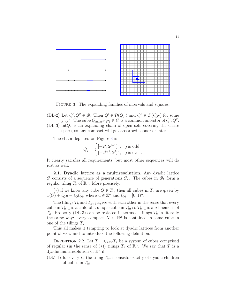

<span id="page-10-0"></span>FIGURE 3. The expanding families of intervals and squares.

- (DL-2) Let  $Q', Q'' \in \mathcal{D}$ . Then  $Q' \in \mathcal{D}(Q_{j'})$  and  $Q'' \in \mathcal{D}(Q_{j''})$  for some j', j''. The cube  $Q_{\max(j',j'')} \in \mathscr{D}$  is a common ancestor of  $Q', Q''$ .
- (DL-3) int $Q_j$  is an expanding chain of open sets covering the entire space, so any compact will get absorbed sooner or later.

The chain depicted on Figure [3](#page-10-0) is

$$
Q_j = \begin{cases} [-2^j, 2^{j+1})^n, & j \text{ is odd;} \\ [-2^{j+1}, 2^j)^n, & j \text{ is even.} \end{cases}
$$

It clearly satisfies all requirements, but most other sequences will do just as well.

2.1. Dyadic lattice as a multiresolution. Any dyadic lattice  $\mathscr{D}$  consists of a sequence of generations  $\mathscr{D}_k$ . The cubes in  $\mathscr{D}_k$  form a regular tiling  $T_k$  of  $\mathbb{R}^n$ . More precisely:

(\*) if we know any cube  $Q \in T_k$ , then all cubes in  $T_k$  are given by  $x(Q) + \ell_Q u + \ell_Q Q_0$ , where  $u \in \mathbb{Z}^n$  and  $Q_0 = [0, 1)^n$ .

The tilings  $T_k$  and  $T_{k+1}$  agree with each other in the sense that every cube in  $T_{k+1}$  is a child of a unique cube in  $T_k$ , so  $T_{k+1}$  is a refinement of  $T_k$ . Property (DL-3) can be restated in terms of tilings  $T_k$  in literally the same way: every compact  $K \subset \mathbb{R}^n$  is contained in some cube in one of the tilings  $T_k$ .

This all makes it tempting to look at dyadic lattices from another point of view and to introduce the following definition.

DEFINITION 2.2. Let  $T = \bigcup_{k \in \mathbb{Z}} T_k$  be a system of cubes comprised of regular (in the sense of  $(*)$ ) tilings  $T_k$  of  $\mathbb{R}^n$ . We say that T is a dyadic multiresolution of  $\mathbb{R}^n$  if

(DM-1) for every k, the tiling  $T_{k+1}$  consists exactly of dyadic children of cubes in  $T_k$ ;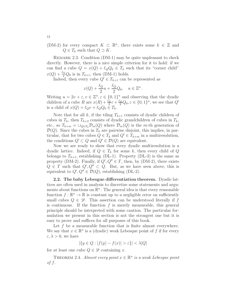(DM-2) for every compact  $K \subset \mathbb{R}^n$ , there exists some  $k \in \mathbb{Z}$  and  $Q \in T_k$  such that  $Q \supset K$ .

<span id="page-11-0"></span>REMARK 2.3. Condition (DM-1) may be quite unpleasant to check directly. However, there is a nice simple criterion for it to hold: if we can find a cube  $Q = x(Q) + \ell_Q Q_0 \in T_k$  such that its "corner child"  $x(Q) + \frac{\ell_Q}{2}Q_0$  is in  $T_{k+1}$ , then (DM-1) holds.

Indeed, then every cube  $Q' \in T_{k+1}$  can be represented as

$$
x(Q) + \frac{\ell_Q}{2}u + \frac{\ell_Q}{2}Q_0, \quad u \in \mathbb{Z}^n.
$$

Writing  $u = 2v + \varepsilon, v \in \mathbb{Z}^n, \varepsilon \in \{0, 1\}^n$  and observing that the dyadic children of a cube R are  $x(R) + \frac{\ell_R}{2} \varepsilon + \frac{\ell_R}{2} Q_0, \varepsilon \in \{0, 1\}^n$ , we see that  $Q'$ is a child of  $x(Q) + \ell_Q v + \ell_Q Q_0 \in T_k$ .

Note that for all k, if the tiling  $T_{k+1}$  consists of dyadic children of cubes in  $T_k$ , then  $T_{k+2}$  consists of dyadic grandchildren of cubes in  $T_k$ , etc., so  $T_{k+m} = \bigcup_{Q \in T_k} \mathcal{D}_m(Q)$  where  $\mathcal{D}_m(Q)$  is the m-th generation of  $\mathcal{D}(Q)$ . Since the cubes in  $T_k$  are pairwise disjoint, this implies, in particular, that for two cubes  $Q \in T_k$  and  $Q' \in T_{k+m}$  in a multiresolution, the conditions  $Q' \subset Q$  and  $Q' \in \mathcal{D}(Q)$  are equivalent.

Now we are ready to show that every dyadic multiresolution is a dyadic lattice. Indeed, if  $Q \in T_k$  for some k, then every child of Q belongs to  $T_{k+1}$ , establishing (DL-1). Property (DL-3) is the same as property (DM-2). Finally, if  $Q'$ ,  $Q'' \in T$ , then, by (DM-2), there exists  $Q \in T$  such that  $Q', Q'' \subset Q$ . But, as we have seen above, this is equivalent to  $Q', Q'' \in \mathcal{D}(Q)$ , establishing (DL-2).

2.2. The baby Lebesgue differentiation theorem. Dyadic lattices are often used in analysis to discretize some statements and arguments about functions on  $\mathbb{R}^n$ . The general idea is that every reasonable function  $f : \mathbb{R}^n \to \mathbb{R}$  is constant up to a negligible error on sufficiently small cubes  $Q \in \mathscr{D}$ . This assertion can be understood literally if f is continuous. If the function  $f$  is merely measurable, this general principle should be interpreted with some caution. The particular formulation we present in this section is not the strongest one but it is easy to prove and suffices for all purposes of this book.

Let  $f$  be a measurable function that is finite almost everywhere. We say that  $x \in \mathbb{R}^n$  is a (dyadic) weak Lebesque point of f if for every  $\varepsilon, \lambda > 0$ , we have

 $|\{y \in Q : |f(y) - f(x)| > \varepsilon\}| < \lambda |Q|$ 

for at least one cube  $Q \in \mathscr{D}$  containing x.

THEOREM 2.4. *Almost every point*  $x \in \mathbb{R}^n$  *is a weak Lebesgue point of* f*.*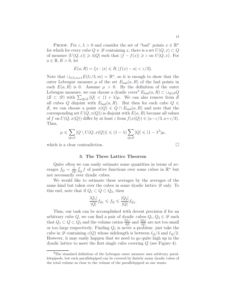PROOF. Fix  $\varepsilon, \lambda > 0$  and consider the set of "bad" points  $x \in \mathbb{R}^n$ for which for every cube  $Q \in \mathscr{D}$  containing x, there is a set  $U(Q, x) \subset Q$ of measure  $|U(Q, x)| \geq \lambda |Q|$  such that  $|f - f(x)| \geq \varepsilon$  on  $U(Q, x)$ . For  $a \in \mathbb{R}, R > 0$ , let

$$
E(a, R) = \{x : |x| \le R, |f(x) - a| < \varepsilon/3\}.
$$

Note that  $\bigcup_{l\in\mathbb{Z},m\geqslant l}E(l\varepsilon/3,m)=\mathbb{R}^n$ , so it is enough to show that the outer Lebesgue measure  $\mu$  of the set  $E_{bad}(a, R)$  of the bad points in each  $E(a, R)$  is 0. Assume  $\mu > 0$ . By the definition of the outer Lebesgue measure, we can choose a dyadic cover<sup>[3](#page-12-1)</sup>  $E_{bad}(a, R) \subset \bigcup_{Q \in \mathcal{S}} Q$  $(\mathcal{S} \subset \mathscr{D})$  with  $\sum_{Q \in \mathcal{S}} |Q| < (1 + \lambda)\mu$ . We can also remove from  $\mathcal{S}$ all cubes Q disjoint with  $E_{bad}(a, R)$ . But then for each cube  $Q \in$ S, we can choose a point  $x(Q) \in Q \cap E_{bad}(a, R)$  and note that the corresponding set  $U(Q, x(Q))$  is disjoint with  $E(a, R)$  because all values of f on  $U(Q, x(Q))$  differ by at least  $\varepsilon$  from  $f(x(Q)) \in (a-\varepsilon/3, a+\varepsilon/3)$ . Thus,

$$
\mu \leqslant \sum_{Q \in \mathcal{S}} |Q \setminus U(Q, x(Q))| \leqslant (1 - \lambda) \sum_{Q \in \mathcal{S}} |Q| \leqslant (1 - \lambda^2) \mu,
$$

<span id="page-12-0"></span>which is a clear contradiction.

# 3. The Three Lattice Theorem

Quite often we can easily estimate some quantities in terms of averages  $f_Q = \frac{1}{|C|}$  $\frac{1}{|Q|} \int_Q f$  of positive functions over some cubes in  $\mathbb{R}^n$  but not necessarily over dyadic cubes.

We would like to estimate these averages by the averages of the same kind but taken over the cubes in some dyadic lattice  $\mathscr D$  only. To this end, note that if  $Q_1 \subset Q \subset Q_2$ , then

$$
\frac{|Q_1|}{|Q|} f_{Q_1} \leqslant f_Q \leqslant \frac{|Q_2|}{|Q|} f_{Q_2}.
$$

Thus, our task can be accomplished with decent precision if for an arbitrary cube Q, we can find a pair of dyadic cubes  $Q_1, Q_2 \in \mathscr{D}$  such that  $Q_1 \subset Q \subset Q_2$  and the volume ratios  $\frac{|Q_1|}{|Q|}$  and  $\frac{|Q_2|}{|Q|}$  are not too small or too large respectively. Finding  $Q_1$  is never a problem: just take the cube in  $\mathscr D$  containing  $c(Q)$  whose sidelength is between  $\ell_Q/4$  and  $\ell_Q/2$ . However, it may easily happen that we need to go quite high up in the dyadic lattice to meet the first single cube covering Q (see Figure [4\)](#page-13-0).

<span id="page-12-1"></span><sup>&</sup>lt;sup>3</sup>The standard definition of the Lebesgue outer measure uses arbitrary parallelepipeds, but each parallelepiped can be covered by finitely many dyadic cubes of the total volume as close to the volume of the parallelepiped as one wants.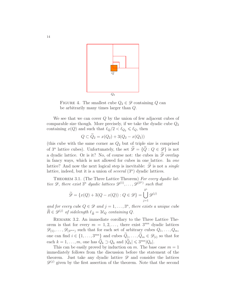

<span id="page-13-0"></span>FIGURE 4. The smallest cube  $Q_2 \in \mathscr{D}$  containing Q can be arbitrarily many times larger than Q.

We see that we can cover Q by the union of few adjacent cubes of comparable size though. More precisely, if we take the dyadic cube  $Q_2$ containing  $x(Q)$  and such that  $\ell_Q/2 < \ell_{Q_2} \leq \ell_Q$ , then

$$
Q \subset \tilde{Q}_2 = x(Q_2) + 3(Q_2 - x(Q_2))
$$

(this cube with the same corner as  $Q_2$  but of triple size is comprised of  $3^n$  lattice cubes). Unfortunately, the set  $\widetilde{\mathscr{D}} = \{ \widetilde{Q} : Q \in \mathscr{Q} \}$  is not a dyadic lattice. Or is it? No, of course not: the cubes in  $\mathscr{D}$  overlap in fancy ways, which is not allowed for cubes in one lattice. In *one* lattice? And now the next logical step is inevitable:  $\mathscr{\tilde{D}}$  is not a *single* lattice, indeed, but it is a union of *several*  $(3<sup>n</sup>)$  dyadic lattices.

<span id="page-13-1"></span>Theorem 3.1. (The Three Lattice Theorem) *For every dyadic lattice*  $\mathscr{D}$ *, there exist*  $3^n$  *dyadic lattices*  $\mathscr{D}^{(1)}$ *,...,*  $\mathscr{D}^{(3^n)}$  *such that* 

$$
\widetilde{\mathcal{D}} = \{x(Q) + 3(Q - x(Q)) : Q \in \mathcal{D}\} = \bigcup_{j=1}^{3^n} \mathcal{D}^{(j)}
$$

and for every cube  $Q \in \mathscr{D}$  and  $j = 1, \ldots, 3^n$ , there exists a unique cube  $R \in \mathscr{D}^{(j)}$  of sidelength  $\ell_{\widetilde{R}} = 3\ell_Q$  containing Q.

<span id="page-13-2"></span>Remark 3.2. An immediate corollary to the Three Lattice Theorem is that for every  $m = 1, 2, \ldots$ , there exist  $3^{mn}$  dyadic lattices  $\mathscr{D}_{(1)}, \ldots, \mathscr{D}_{(3^{mn})}$  such that for each set of arbitrary cubes  $Q_1, \ldots, Q_m$ , one can find  $i \in \{1, \ldots, 3^{mn}\}\$  and cubes  $\widetilde{Q}_1, \ldots, \widetilde{Q}_m \in \mathscr{D}_{(i)}$  so that for each  $k = 1, \ldots, m$ , one has  $\tilde{Q}_k \supset Q_k$  and  $|\tilde{Q}_k| \leq 3^{mn} |Q_k|$ .

This can be easily proved by induction on m. The base case  $m = 1$ immediately follows from the discussion before the statement of the theorem. Just take any dyadic lattice  $\mathscr D$  and consider the lattices  $\mathscr{D}^{(j)}$  given by the first assertion of the theorem. Note that the second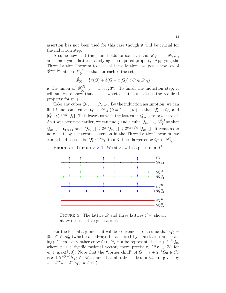assertion has not been used for this case though it will be crucial for the induction step.

Assume now that the claim holds for some m and  $\mathscr{D}_{(1)}, \ldots, \mathscr{D}_{(3^{mn})}$ are some dyadic lattices satisfying the required property. Applying the Three Lattice Theorem to each of these lattices, we get a new set of  $3^{(m+1)n}$  lattices  $\mathscr{D}_{(i)}^{(j)}$  $\chi_{(i)}^{(j)}$  so that for each *i*, the set

$$
\widetilde{\mathcal{D}}_{(i)} = \{x(Q) + 3(Q - x(Q)) : Q \in \mathcal{D}_{(i)}\}
$$

is the union of  $\mathscr{D}_{(i)}^{(j)}$  $(i, j, j = 1, \ldots, 3<sup>n</sup>$ . To finish the induction step, it will suffice to show that this new set of lattices satisfies the required property for  $m + 1$ .

Take any cubes  $Q_1, \ldots, Q_{m+1}$ . By the induction assumption, we can find i and some cubes  $\widetilde{Q}'_k \in \mathscr{D}_{(i)}$   $(k = 1, \ldots, m)$  so that  $\widetilde{Q}'_k \supset Q_k$  and  $|Q'_k| \leq 3^{mn} |Q_k|$ . This leaves us with the last cube  $Q_{m+1}$  to take care of. As it was observed earlier, we can find j and a cube  $\widetilde{Q}_{m+1} \in \mathscr{D}_{(i)}^{(j)}$  $\chi^{(J)}_{(i)}$  so that  $Q_{m+1} \supset Q_{m+1}$  and  $|Q_{m+1}| \leq 3^n |Q_{m+1}| \leq 3^{(m+1)n} |Q_{m+1}|$ . It remains to note that, by the second assertion in the Three Lattice Theorem, we can extend each cube  $\widetilde{Q}'_k \in \mathscr{D}_{(i)}$  to a 3 times larger cube  $\widetilde{Q}_k \in \mathscr{D}_{(i)}^{(j)}$  $\binom{(J)}{(i)}$  .

PROOF OF THEOREM [3.1.](#page-13-1) We start with a picture in  $\mathbb{R}^1$ :



<span id="page-14-0"></span>FIGURE 5. The lattice  $\mathscr{D}$  and three lattices  $\mathscr{D}^{(j)}$  shown at two consecutive generations.

For the formal argument, it will be convenient to assume that  $Q_0 =$  $[0, 1]$ <sup>n</sup>  $\in \mathscr{D}_0$  (which can always be achieved by translation and scaling). Then every other cube  $Q \in \mathscr{D}_k$  can be represented as  $x + 2^{-k}Q_0$ , where x is a dyadic rational vector; more precisely,  $2^m x \in \mathbb{Z}^n$  for  $m \ge \max(k, 0)$ . Note that the "corner child" of  $Q = x + 2^{-k}Q_0 \in \mathscr{D}_k$ is  $x + 2^{-(k+1)}Q_0 \in \mathscr{D}_{k+1}$  and that all other cubes in  $\mathscr{D}_k$  are given by  $x + 2^{-k}u + 2^{-k}Q_0$   $(u \in \mathbb{Z}^n)$ .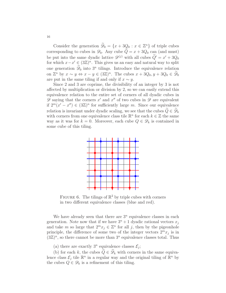Consider the generation  $\widetilde{\mathcal{D}}_0 = \{x + 3Q_0 : x \in \mathbb{Z}^n\}$  of triple cubes corresponding to cubes in  $\mathcal{D}_0$ . Any cube  $\widetilde{Q} = x + 3Q_0$  can (and must) be put into the same dyadic lattice  $\mathscr{D}^{(j)}$  with all cubes  $\widetilde{Q}' = x' + 3Q_0$ for which  $x - x' \in (3\mathbb{Z})^n$ . This gives us an easy and natural way to split one generation  $\widetilde{\mathscr{D}}_0$  into  $3^n$  tilings. Introduce the equivalence relation on  $\mathbb{Z}^n$  by  $x \sim y \Leftrightarrow x - y \in (3\mathbb{Z})^n$ . The cubes  $x + 3Q_0, y + 3Q_0 \in \widetilde{\mathcal{D}}_0$ are put in the same tiling if and only if  $x \sim y$ .

Since 2 and 3 are coprime, the divisibility of an integer by 3 is not affected by multiplication or division by 2, so we can easily extend this equivalence relation to the entire set of corners of all dyadic cubes in  $\mathscr{D}$  saying that the corners  $x'$  and  $x''$  of two cubes in  $\mathscr{D}$  are equivalent if  $2^m(x'-x'') \in (3\mathbb{Z})^n$  for sufficiently large m. Since our equivalence relation is invariant under dyadic scaling, we see that the cubes  $\widetilde{Q} \in \widetilde{\mathscr{D}}_k$ with corners from one equivalence class tile  $\mathbb{R}^n$  for each  $k \in \mathbb{Z}$  the same way as it was for  $k = 0$ . Moreover, each cube  $Q \in \mathscr{D}_k$  is contained in some cube of this tiling.



FIGURE 6. The tilings of  $\mathbb{R}^2$  by triple cubes with corners in two different equivalence classes (blue and red).

We have already seen that there are  $3<sup>n</sup>$  equivalence classes in each generation. Note now that if we have  $3^n + 1$  dyadic rational vectors  $x_i$ and take m so large that  $2^m x_j \in \mathbb{Z}^n$  for all j, then by the pigeonhole principle, the difference of some two of the integer vectors  $2^m x_j$  is in  $(3\mathbb{Z})^n$ , so there cannot be more than  $3^n$  equivalence classes total. Thus

(a) there are exactly  $3^n$  equivalence classes  $\mathcal{E}_j$ ;

(b) for each k, the cubes  $\widetilde{Q} \in \widetilde{\mathscr{D}}_k$  with corners in the same equivalence class  $\mathcal{E}_j$  tile  $\mathbb{R}^n$  in a regular way and the original tiling of  $\mathbb{R}^n$  by the cubes  $Q \in \mathscr{D}_k$  is a refinement of this tiling.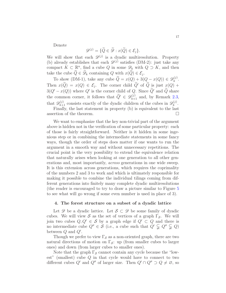Denote

$$
\mathscr{D}^{(j)} = \{ \widetilde{Q} \in \widetilde{\mathscr{D}} : x(\widetilde{Q}) \in \mathcal{E}_j \}.
$$

We will show that each  $\mathscr{D}^{(j)}$  is a dyadic multiresolution. Property (b) already establishes that each  $\mathscr{D}^{(j)}$  satisfies (DM-2): just take any compact  $K \subset \mathbb{R}^n$ , find a cube Q in some  $\mathscr{D}_k$  with  $Q \supset K$ , and then take the cube  $\widetilde{Q} \in \widetilde{\mathscr{D}}_k$  containing  $Q$  with  $x(\widetilde{Q}) \in \mathcal{E}_j$ .

To show (DM-1), take any cube  $\widetilde{Q} = x(Q) + 3(Q - x(Q)) \in \mathscr{D}_{k}^{(j)}$  $k^{(J)}$ . Then  $x(Q) = x(Q) \in \mathcal{E}_j$ . The corner child  $Q'$  of  $Q$  is just  $x(Q)$  +  $3(Q'-x(Q))$  where Q' is the corner child of Q. Since  $Q'$  and Q share the common corner, it follows that  $\widetilde{Q}' \in \mathscr{D}_{k+1}^{(j)}$  and, by Remark [2.3,](#page-11-0) that  $\mathscr{D}_{k+1}^{(j)}$  consists exactly of the dyadic children of the cubes in  $\mathscr{D}_{k}^{(j)}$  $k^{(J)}$  .

Finally, the last statement in property (b) is equivalent to the last assertion of the theorem.  $\Box$ 

We want to emphasize that the key non-trivial part of the argument above is hidden not in the verification of some particular property: each of those is fairly straightforward. Neither is it hidden in some ingenious step or in combining the intermediate statements in some fancy ways, though the order of steps does matter if one wants to run the argument in a smooth way and without unnecessary repetitions. The crucial point is the very possibility to extend the equivalence relation that naturally arises when looking at one generation to all other generations and, most importantly, *across* generations in one wide sweep. It is this extension across generations, which requires the coprimality of the numbers 2 and 3 to work and which is ultimately responsible for making it possible to combine the individual tilings coming from different generations into finitely many complete dyadic multiresolutions (the reader is encouraged to try to draw a picture similar to Figure [5](#page-14-0) to see what will go wrong if some even number is used in place of 3).

# <span id="page-16-0"></span>4. The forest structure on a subset of a dyadic lattice

Let  $\mathscr D$  be a dyadic lattice. Let  $\mathcal S \subset \mathscr D$  be some family of dyadic cubes. We will view S as the set of vertices of a graph  $\Gamma_{\mathcal{S}}$ . We will join two cubes  $Q, Q' \in \mathcal{S}$  by a graph edge if  $Q' \subset Q$  and there is no intermediate cube  $Q'' \in \mathcal{S}$  (i.e., a cube such that  $Q' \subsetneq Q'' \subsetneq Q$ ) between  $Q$  and  $Q'$ .

Though we prefer to view  $\Gamma_{\mathcal{S}}$  as a non-oriented graph, there are two natural directions of motion on  $\Gamma_{\mathcal{S}}$ : up (from smaller cubes to larger ones) and down (from larger cubes to smaller ones).

Note that the graph  $\Gamma_{\mathcal{S}}$  cannot contain any cycle because the "lowest" (smallest) cube  $Q$  in that cycle would have to connect to two different cubes Q' and Q" of larger size. Then  $Q' \cap Q'' \supset Q \neq \emptyset$ , so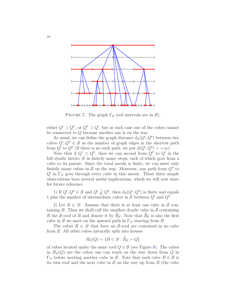

FIGURE 7. The graph  $\Gamma_{\mathcal{S}}$  (red intervals are in  $\mathcal{S}$ ).

either  $Q' \supset Q''$ , or  $Q'' \supset Q'$ , but in each case one of the cubes cannot be connected to  $Q$  because another one is on the way.

As usual, we can define the graph distance  $d_{\mathcal{S}}(Q', Q'')$  between two cubes  $Q', Q'' \in \mathcal{S}$  as the number of graph edges in the shortest path from Q' to Q" (if there is no such path, we put  $d(Q', Q'') = +\infty$ ).

Note that if  $Q' \supset Q''$ , then we can ascend from  $Q''$  to  $Q'$  in the full dyadic lattice  $\mathscr D$  in finitely many steps, each of which goes from a cube to its parent. Since the total ascent is finite, we can meet only finitely many cubes in S on the way. Moreover, any path from  $Q''$  to  $Q'$  in  $\Gamma_{\mathscr{D}}$  goes through every cube in this ascent. These three simple observations have several useful implications, which we will now state for future reference.

1) If  $Q', Q'' \in S$  and  $Q' \supsetneq Q''$ , then  $d_{\mathcal{S}}(Q', Q'')$  is finite and equals 1 plus the number of intermediate cubes in  $S$  between  $Q'$  and  $Q''$ .

2) Let  $R \in \mathscr{D}$ . Assume that there is at least one cube in S containing R. Then we shall call the smallest dyadic cube in  $S$  containing R the S-roof of R and denote it by  $\hat{R}_{\mathcal{S}}$ . Note that  $\hat{R}_{\mathcal{S}}$  is also the first cube in S we meet on the upward path in  $\Gamma_{\mathscr{D}}$  starting from R.

The cubes  $R \in \mathscr{D}$  that have no S-roof are contained in no cube from  $S$ . All other cubes naturally split into houses

$$
H_{\mathcal{S}}(Q) = \{ R \in \mathcal{D} : \widehat{R}_{\mathcal{S}} = Q \}
$$

of cubes located under the same roof  $Q \in \mathcal{S}$  (see Figure [8\)](#page-18-1). The cubes in  $H<sub>S</sub>(Q)$  are the cubes one can reach on the way down from Q in  $\Gamma_{\mathscr{D}}$  before meeting another cube in S. Note that each cube  $R \in \mathcal{S}$  is its own roof and the next cube in  $\mathcal S$  on the way up from  $R$  (the cube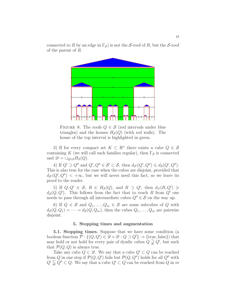



<span id="page-18-1"></span>FIGURE 8. The roofs  $Q \in \mathcal{S}$  (red intervals under blue triangles) and the houses  $H_{\mathcal{S}}(Q)$  (with red walls). The house of the top interval is highlighted in green.

3) If for every compact set  $K \subset \mathbb{R}^n$  there exists a cube  $Q \in \mathcal{S}$ containing K (we will call such families regular), then  $\Gamma_{\mathcal{S}}$  is connected and  $\mathscr{D} = \cup_{Q \in \mathcal{S}} H_{\mathcal{S}}(Q)$ .

4) If  $Q' \supset Q''$  and  $Q', Q'' \in \mathcal{S}' \subset \mathcal{S}$ , then  $d_{\mathcal{S}'}(Q', Q'') \leq d_{\mathcal{S}}(Q', Q'')$ . This is also true for the case when the cubes are disjoint, provided that  $d_{\mathcal{S}'}(Q', Q'') < +\infty$ , but we will never need this fact, so we leave its proof to the reader.

5) If  $Q, Q' \in S$ ,  $R \in H_S(Q)$ , and  $R \supset Q'$ , then  $d_{\mathscr{D}}(R, Q') \geq$  $d_{\mathcal{S}}(Q, Q')$ . This follows from the fact that to reach R from  $Q'$  one needs to pass through all intermediate cubes  $Q'' \in \mathcal{S}$  on the way up.

6) If  $Q \in \mathcal{S}$  and  $Q_1, \ldots, Q_m \in \mathcal{S}$  are some subcubes of  $Q$  with  $d_{\mathcal{S}}(Q, Q_1) = \cdots = d_{\mathcal{S}}(Q, Q_m)$ , then the cubes  $Q_1, \ldots, Q_m$  are pairwise disjoint.

# 5. Stopping times and augmentation

<span id="page-18-0"></span>5.1. Stopping times. Suppose that we have some condition (a boolean function  $\mathcal{P}: \{(Q, Q') \in \mathscr{D} \times \mathscr{D} : Q \supset Q'\} \to \{\text{true}, \text{false}\}\$  that may hold or not hold for every pair of dyadic cubes  $Q \supsetneq Q'$ , but such that  $\mathcal{P}(Q, Q)$  is always true.

Take any cube  $Q \subset \mathscr{D}$ . We say that a cube  $Q' \subset Q$  can be reached from Q in one step if  $\mathcal{P}(Q, Q')$  fails but  $\mathcal{P}(Q, Q'')$  holds for all  $Q''$  with  $Q' \subsetneq Q'' \subset Q$ . We say that a cube  $Q' \subset Q$  can be reached from Q in m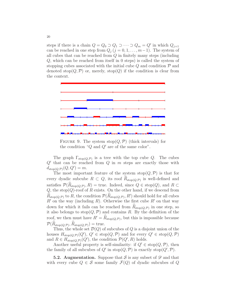steps if there is a chain  $Q = Q_0 \supset Q_1 \supset \cdots \supset Q_m = Q'$  in which  $Q_{j+1}$ can be reached in one step from  $Q_j$   $(j = 0, 1, \ldots, m-1)$ . The system of all cubes that can be reached from Q in finitely many steps (including Q, which can be reached from itself in 0 steps) is called the system of stopping cubes associated with the initial cube  $Q$  and condition  $\mathcal P$  and denoted stop $(Q, \mathcal{P})$  or, merely, stop $(Q)$  if the condition is clear from the context.



FIGURE 9. The system  $stop(Q, P)$  (thick intervals) for the condition " $Q$  and  $Q'$  are of the same color".

The graph  $\Gamma_{\text{stop}(Q,\mathcal{P})}$  is a tree with the top cube Q. The cubes  $Q'$  that can be reached from  $Q$  in  $m$  steps are exactly those with  $d_{\text{stop}(Q,\mathcal{P})}(Q,Q')=m.$ 

The most important feature of the system  $stop(Q, P)$  is that for every dyadic subcube  $R \subset Q$ , its roof  $R_{\text{stop}(Q,\mathcal{P})}$  is well-defined and satisfies  $\mathcal{P}(R_{\text{stop}(Q,\mathcal{P})}, R) = \text{true}$ . Indeed, since  $Q \in \text{stop}(Q)$ , and  $R \subset$  $Q$ , the stop $(Q)$ -roof of R exists. On the other hand, if we descend from  $R_{\text{stop}(Q,\mathcal{P})}$  to R, the condition  $\mathcal{P}(R_{\text{stop}(Q,\mathcal{P})}, R')$  should hold for all cubes  $R'$  on the way (including R). Otherwise the first cube  $R'$  on that way down for which it fails can be reached from  $R_{\text{stop}(Q,\mathcal{P})}$  in one step, so it also belongs to  $stop(Q, P)$  and contains R. By the definition of the roof, we then must have  $R' = \hat{R}_{\text{stop}(Q,\mathcal{P})}$ , but this is impossible because  $\mathcal{P}(R_{\text{stop}(Q,\mathcal{P})}, R_{\text{stop}(Q,\mathcal{P})}) = \text{true}.$ 

Thus, the whole set  $\mathcal{D}(Q)$  of subcubes of Q is a disjoint union of the houses  $H_{\text{stop}(Q,\mathcal{P})}(Q')$ ,  $Q' \in \text{stop}(Q,\mathcal{P})$  and for every  $Q' \in \text{stop}(Q,\mathcal{P})$ and  $R \in H_{\text{stop}(Q,\mathcal{P})}(Q')$ , the condition  $\mathcal{P}(Q',R)$  holds.

Another useful property is self-similarity: if  $Q' \in \text{stop}(Q, \mathcal{P})$ , then the family of all subcubes of  $Q'$  in  $stop(Q, P)$  is exactly  $stop(Q', P)$ .

**5.2. Augmentation.** Suppose that S is any subset of  $\mathscr{D}$  and that with every cube  $Q \in \mathcal{S}$  some family  $\mathcal{F}(Q)$  of dyadic subcubes of Q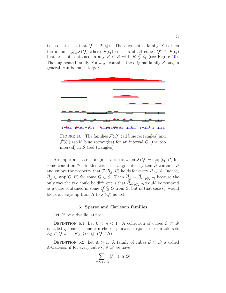is associated so that  $Q \in \mathcal{F}(Q)$ . The augmented family  $\widetilde{S}$  is then the union  $\bigcup_{Q\in\mathcal{S}}\widetilde{\mathcal{F}}(Q)$  where  $\widetilde{\mathcal{F}}(Q)$  consists of all cubes  $Q'\in\mathcal{F}(Q)$ that are not contained in any  $R \in \mathcal{S}$  with  $R \subsetneq Q$  (see Figure [10\)](#page-20-1). The augmented family  $\mathcal S$  always contains the original family  $\mathcal S$  but, in general, can be much larger.



<span id="page-20-1"></span>FIGURE 10. The families  $\mathcal{F}(Q)$  (all blue rectangles) and  $\widetilde{\mathcal{F}}(Q)$  (solid blue rectangles) for an interval Q (the top interval) in  $S$  (red triangles).

An important case of augmentation is when  $\mathcal{F}(Q) = \text{stop}(Q, \mathcal{P})$  for some condition  $\mathcal{P}$ . In this case, the augmented system  $\widetilde{\mathcal{S}}$  contains  $\mathcal{S}$ and enjoys the property that  $\mathcal{P}(\widehat{R}_{\widetilde{S}},R)$  holds for every  $R \in \mathscr{D}$ . Indeed,  $R_{\tilde{S}} \in \text{stop}(Q, P)$  for some  $Q \in \mathcal{S}$ . Then  $R_{\tilde{S}} = R_{\text{stop}(Q, P)}$  because the only way the two could be different is that  $\hat{R}_{\text{stop}(Q,P)}$  would be removed as a cube contained in some  $Q' \subsetneq Q$  from S, but in that case  $Q'$  would block all ways up from R to  $\mathcal{F}(Q)$  as well.

# 6. Sparse and Carleson families

<span id="page-20-0"></span>Let  $\mathscr{D}$  be a dyadic lattice.

DEFINITION 6.1. Let  $0 < \eta < 1$ . A collection of cubes  $S \subset \mathscr{D}$ is called  $\eta$ -sparse if one can choose pairwise disjoint measurable sets  $E_Q \subset Q$  with  $|E_Q| \geq \eta |Q|$   $(Q \in S)$ .

DEFINITION 6.2. Let  $\Lambda > 1$ . A family of cubes  $S \subset \mathscr{D}$  is called  $\Lambda$ -Carleson if for every cube  $Q \in \mathscr{D}$  we have

$$
\sum_{P \in \mathcal{S}, P \subset Q} |P| \leq \Lambda |Q|.
$$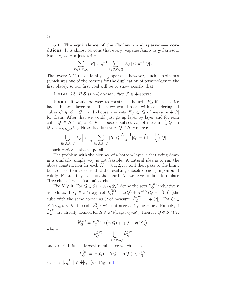6.1. The equivalence of the Carleson and sparseness conditions. It is almost obvious that every  $\eta$ -sparse family is  $\frac{1}{\eta}$ -Carleson. Namely, we can just write

$$
\sum_{P \in \mathcal{S}, P \subset Q} |P| \leqslant \eta^{-1} \sum_{P \in \mathcal{S}, P \subset Q} |E_P| \leqslant \eta^{-1} |Q| \, .
$$

That every  $\Lambda$ -Carleson family is  $\frac{1}{\Lambda}$ -sparse is, however, much less obvious (which was one of the reasons for the duplication of terminology in the first place), so our first goal will be to show exactly that.

LEMMA 6.3. *If* S *is*  $\Lambda$ -Carleson, then S *is*  $\frac{1}{\Lambda}$ -sparse.

PROOF. It would be easy to construct the sets  $E_Q$  if the lattice had a bottom layer  $\mathscr{D}_K$ . Then we would start with considering all cubes  $Q \in \mathcal{S} \cap \mathcal{D}_K$  and choose any sets  $E_Q \subset Q$  of measure  $\frac{1}{\Lambda}|Q|$ for them. After that we would just go up layer by layer and for each cube  $Q \in \mathcal{S} \cap \mathcal{D}_k, k \leq K$ , choose a subset  $E_Q$  of measure  $\frac{1}{\Lambda}|Q|$  in  $Q \setminus \cup_{R \in \mathcal{S}, R \subseteq Q} E_R$ . Note that for every  $Q \in \mathcal{S}$ , we have

$$
\Big|\bigcup_{R\in\mathcal{S},R\subsetneq Q}E_R\Big|\leqslant \frac{1}{\Lambda}\sum_{R\in\mathcal{S},R\subsetneq Q}|R|\leqslant \frac{\Lambda-1}{\Lambda}|Q|=\left(1-\frac{1}{\Lambda}\right)|Q|,
$$

so such choice is always possible.

The problem with the absence of a bottom layer is that going down in a similarly simple way is not feasible. A natural idea is to run the above construction for each  $K = 0, 1, 2, \ldots$  and then pass to the limit, but we need to make sure that the resulting subsets do not jump around wildly. Fortunately, it is not that hard. All we have to do is to replace "free choice" with "canonical choice".

Fix  $K \geq 0$ . For  $Q \in \mathcal{S} \cap (\cup_{k \leq K} \mathcal{D}_k)$  define the sets  $\widehat{E}_Q^{(K)}$  inductively as follows. If  $Q \in \mathcal{S} \cap \mathcal{D}_K$ , set  $\widehat{E}_Q^{(K)} = x(Q) + \Lambda^{-1/n}(Q - x(Q))$  (the cube with the same corner as Q of measure  $|\widehat{E}_Q^{(K)}| = \frac{1}{\Lambda}$  $\frac{1}{\Lambda}|Q|$ ). For  $Q \in$  $S \cap \mathscr{D}_k, k < K$ , the sets  $\widehat{E}_Q^{(K)}$  will not necessarily be cubes. Namely, if  $\widehat{E}_R^{(K)}$  are already defined for  $R \in \mathcal{S} \cap (\cup_{k+1 \leq i \leq K} \mathcal{D}_i)$ , then for  $Q \in \mathcal{S} \cap \mathcal{D}_k$ , set

$$
\widehat{E}_Q^{(K)} = F_Q^{(K)} \cup (x(Q) + t(Q - x(Q))),
$$

where

$$
F^{(K)}_Q = \bigcup_{R \in \mathcal{S}, R \varsubsetneqq Q} \widehat{E}^{(K)}_R
$$

and  $t \in [0, 1]$  is the largest number for which the set

$$
E_Q^{(K)} = [x(Q) + t(Q - x(Q))] \setminus F_Q^{(K)}
$$

satisfies  $|E_Q^{(K)}| \leq \frac{1}{\Lambda}$  $\frac{1}{\Lambda}|Q|$  (see Figure [11\)](#page-22-0).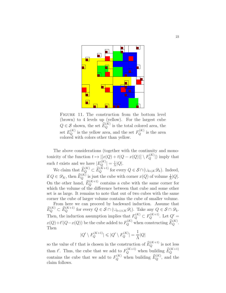

<span id="page-22-0"></span>Figure 11. The construction from the bottom level (brown) to 4 levels up (yellow). For the largest cube  $Q \in \mathcal{S}$  shown, the set  $\widehat{E}_Q^{(K)}$  is the total colored area, the set  $E_Q^{(K)}$  is the yellow area, and the set  $F_Q^{(K)}$  is the area colored with colors other than yellow.

The above considerations (together with the continuity and monotonicity of the function  $t \mapsto |[x(Q) + t(Q - x(Q))] \setminus F_Q^{(K)}|)$  imply that such t exists and we have  $|E_Q^{(K)}| = \frac{1}{\Lambda}$  $\frac{1}{\Lambda}|Q|$ .

We claim that  $\widehat{E}_Q^{(K)} \subset \widehat{E}_Q^{(K+1)}$  for every  $Q \in \mathcal{S} \cap (\cup_{k \leq K} \mathcal{D}_k)$ . Indeed, if  $Q \in \mathscr{D}_K$ , then  $\widehat{E}_Q^{(K)}$  is just the cube with corner  $x(Q)$  of volume  $\frac{1}{\Lambda}|Q|$ . On the other hand,  $\widehat{E}_Q^{(K+1)}$  contains a cube with the same corner for which the volume of the difference between that cube and some other set is as large. It remains to note that out of two cubes with the same corner the cube of larger volume contains the cube of smaller volume.

From here we can proceed by backward induction. Assume that  $\widehat{E}_Q^{(K)} \subset \widehat{E}_Q^{(K+1)}$  for every  $Q \in \mathcal{S} \cap (\cup_{k < i \le K} \mathcal{D}_i)$ . Take any  $Q \in \mathcal{S} \cap \mathcal{D}_k$ . Then, the induction assumption implies that  $F_Q^{(K)} \subset F_Q^{(K+1)}$ . Let  $Q' =$  $x(Q) + t'(Q-x(Q))$  be the cube added to  $F_Q^{(K)}$  when constructing  $\widehat{E}_Q^{(K)}$ . Then

$$
|Q' \setminus F_Q^{(K+1)}| \leqslant |Q' \setminus F_Q^{(K)}| = \frac{1}{\Lambda}|Q|
$$

so the value of t that is chosen in the construction of  $\widehat{E}_Q^{(K+1)}$  is not less than t'. Thus, the cube that we add to  $F_Q^{(K+1)}$  when building  $\widehat{E}_Q^{(K+1)}$ contains the cube that we add to  $F_Q^{(K)}$  when building  $\widehat{E}_Q^{(K)}$ , and the claim follows.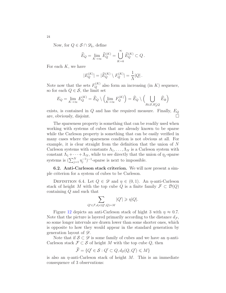Now, for  $Q \in \mathcal{S} \cap \mathscr{D}_k$ , define

$$
\widehat{E}_Q = \lim_{K \to \infty} \widehat{E}_Q^{(K)} = \bigcup_{K=k}^{\infty} \widehat{E}_Q^{(K)} \subset Q.
$$

For each  $K$ , we have

$$
|E_Q^{(K)}| = |\widehat{E}_Q^{(K)} \setminus F_Q^{(K)}| = \frac{1}{\Lambda}|Q|.
$$

Note now that the sets  $F_Q^{(K)}$  also form an increasing (in K) sequence, so for each  $Q \in \mathcal{S}$ , the limit set

$$
E_Q = \lim_{K \to \infty} E_Q^{(K)} = \widehat{E}_Q \setminus \left( \lim_{K \to \infty} F_Q^{(K)} \right) = \widehat{E}_Q \setminus \left( \bigcup_{R \in \mathcal{S}, R \subsetneq Q} \widehat{E}_R \right)
$$

exists, is contained in  $Q$  and has the required measure. Finally,  $E_Q$ are, obviously, disjoint.

The sparseness property is something that can be readily used when working with systems of cubes that are already known to be sparse while the Carleson property is something that can be easily verified in many cases where the sparseness condition is not obvious at all. For example, it is clear straight from the definition that the union of N Carleson systems with constants  $\Lambda_1, \ldots, \Lambda_N$  is a Carleson system with constant  $\Lambda_1 + \cdots + \Lambda_N$ , while to see directly that the union of  $\eta_j$ -sparse systems is  $(\sum_{j=1}^N \eta_j^{-1})$  $j^{-1}$ )<sup>-1</sup>-sparse is next to impossible.

6.2. Anti-Carleson stack criterion. We will now present a simple criterion for a system of cubes to be Carleson.

DEFINITION 6.4. Let  $Q \in \mathscr{D}$  and  $\eta \in (0,1)$ . An  $\eta$ -anti-Carleson stack of height M with the top cube Q is a finite family  $\mathcal{F} \subset \mathcal{D}(Q)$ containing Q and such that

$$
\sum_{Q' \in \mathcal{F}, d_{\mathcal{F}}(Q', Q) = M} |Q'| \geqslant \eta |Q|.
$$

Figure [12](#page-24-0) depicts an anti-Carleson stack of hight 3 with  $\eta \approx 0.7$ . Note that the picture is layered primarily according to the distance  $d_{\mathcal{F}}$ , so some longer intervals are drawn lower than some shorter ones, which is opposite to how they would appear in the standard generation by generation layout of  $\mathscr{D}$ .

Note that if  $S \subset \mathcal{D}$  is some family of cubes and we have an  $\eta$ -anti-Carleson stack  $\mathcal{F} \subset \mathcal{S}$  of height M with the top cube Q, then

$$
\widetilde{\mathcal{F}} = \{ Q' \in \mathcal{S} : Q' \subset Q, d_{\mathcal{S}}(Q, Q') \leq M \}
$$

is also an  $\eta$ -anti-Carleson stack of height M. This is an immediate consequence of 3 observations: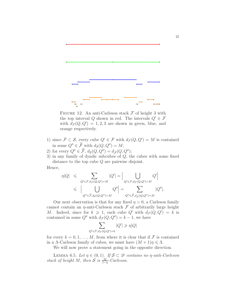

<span id="page-24-0"></span>FIGURE 12. An anti-Carleson stack  $\mathcal F$  of height 3 with the top interval Q shown in red. The intervals  $Q' \in \mathcal{F}$ with  $d_{\mathcal{F}}(Q, Q') = 1, 2, 3$  are shown in green, blue, and orange respectively.

- 1) since  $\mathcal{F} \subset \mathcal{S}$ , every cube  $Q' \in \mathcal{F}$  with  $d_{\mathcal{F}}(Q, Q') = M$  is contained in some  $Q'' \in \widetilde{\mathcal{F}}$  with  $d_{\mathcal{S}}(Q, Q'') = M$ ;
- 2) for every  $Q'' \in \widetilde{\mathcal{F}}, d_{\mathcal{S}}(Q, Q'') = d_{\widetilde{\mathcal{F}}}(Q, Q'')$ ;
- 3) in any family of dyadic subcubes of Q, the cubes with some fixed distance to the top cube Q are pairwise disjoint.

Hence,

$$
\begin{array}{rcl}\eta|Q|&\leqslant&\displaystyle\sum_{Q'\in\mathcal{F},d_{\mathcal{F}}(Q,Q')=M}|Q'|=\Big|\bigcup_{Q'\in\mathcal{F},d_{\mathcal{F}}(Q,Q')=M}Q'\Big|\\&\leqslant&\Big|\bigcup_{Q''\in\widetilde{\mathcal{F}},d_{\mathcal{S}}(Q,Q'')=M}Q''\Big|=\sum_{Q''\in\widetilde{\mathcal{F}},d_{\widetilde{\mathcal{F}}}(Q,Q'')=M}|Q''|.\end{array}
$$

Our next observation is that for any fixed  $\eta > 0$ , a Carleson family cannot contain an  $\eta$ -anti-Carleson stack  $\mathcal F$  of arbitrarily large height M. Indeed, since for  $k \geq 1$ , each cube Q' with  $d_{\mathcal{F}}(Q, Q') = k$  is contained in some  $Q''$  with  $d_{\mathcal{F}}(Q, Q'') = k - 1$ , we have

$$
\sum_{Q' \in \mathcal{F}, d_{\mathcal{F}}(Q, Q') = k} |Q'| \geqslant \eta |Q|
$$

for every  $k = 0, 1, \ldots, M$ , from where it is clear that if F is contained in a  $\Lambda$ -Carleson family of cubes, we must have  $(M + 1)\eta \leq \Lambda$ .

We will now prove a statement going in the opposite direction.

<span id="page-24-1"></span>LEMMA 6.5. Let  $\eta \in (0,1)$ . If  $S \subset \mathcal{D}$  contains no  $\eta$ -anti-Carleson *stack of height*  $M$ *, then*  $S$  *is*  $\frac{M}{1-\eta}$ -Carleson.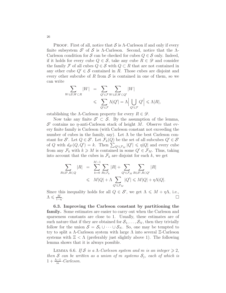PROOF. First of all, notice that  $\mathcal S$  is  $\Lambda$ -Carleson if and only if every finite subsystem  $\mathcal{S}'$  of  $\mathcal{S}$  is  $\Lambda$ -Carleson. Second, notice that the  $\Lambda$ -Carleson condition for S can be checked for cubes  $Q \in S$  only. Indeed, if it holds for every cube  $Q \in \mathcal{S}$ , take any cube  $R \in \mathcal{D}$  and consider the family F of all cubes  $Q \in \mathcal{S}$  with  $Q \subset R$  that are not contained in any other cube  $Q' \in \mathcal{S}$  contained in R. Those cubes are disjoint and every other subcube of R from  $\mathcal S$  is contained in one of them, so we can write

$$
\sum_{W \in \mathcal{S}, W \subset R} |W| = \sum_{Q' \in \mathcal{F}} \sum_{W \in \mathcal{S}, W \subset Q'} |W|
$$
  

$$
\leq \sum_{Q' \in \mathcal{F}} \Lambda |Q'| = \Lambda \Big| \bigcup_{Q' \in \mathcal{F}} Q' \Big| \leq \Lambda |R|,
$$

establishing the  $\Lambda$ -Carleson property for every  $R \in \mathscr{D}$ .

Now take any finite  $S' \subset S$ . By the assumption of the lemma,  $\mathcal{S}'$  contains no  $\eta$ -anti-Carleson stack of height M. Observe that every finite family is Carleson (with Carleson constant not exceeding the number of cubes in the family, say). Let  $\Lambda$  be the best Carleson constant for S'. Let  $Q \in S'$ . Let  $\mathcal{F}_k(Q)$  be the set of all subcubes  $Q' \in S'$ of Q with  $d_{\mathcal{S}'}(Q, Q') = k$ . Then  $\sum_{Q' \in \mathcal{F}_M} |Q'| \leq \eta |Q|$  and every cube from any  $\mathcal{F}_k$  with  $k \geqslant M$  is contained in some  $Q' \in \mathcal{F}_M$ . Thus, taking into account that the cubes in  $\mathcal{F}_k$  are disjoint for each k, we get

$$
\sum_{R \in \mathcal{S}', R \subset Q} |R| = \sum_{k=0}^{M-1} \sum_{R \in \mathcal{F}_k} |R| + \sum_{Q' \in \mathcal{F}_M} \sum_{R \in \mathcal{S}', R \subset Q'} |R|
$$
  

$$
\leq M|Q| + \Lambda \sum_{Q' \in \mathcal{F}_M} |Q'| \leq M|Q| + \eta \Lambda|Q|.
$$

Since this inequality holds for all  $Q \in \mathcal{S}'$ , we get  $\Lambda \leq M + \eta \Lambda$ , i.e.,  $\Lambda \leqslant \frac{M}{1-\Lambda}$  $1-\eta$ .

6.3. Improving the Carleson constant by partitioning the family. Some estimates are easier to carry out when the Carleson and sparseness constants are close to 1. Usually, these estimates are of such nature that if they are obtained for  $S_1, \ldots, S_N$ , then they trivially follow for the union  $S = S_1 \cup \cdots \cup S_N$ . So, one may be tempted to try to split a  $\Lambda$ -Carleson system with large  $\Lambda$  into several  $\Xi$ -Carleson systems with  $\Xi < \Lambda$  (preferably just slightly above 1). The following lemma shows that it is always possible.

LEMMA 6.6. If S is a  $\Lambda$ -Carleson system and m is an integer  $\geq 2$ , *then*  $S$  *can be written as a union of*  $m$  *systems*  $S_j$ *, each of which is*  $1 + \frac{\Lambda - 1}{m}$ -*Carleson.*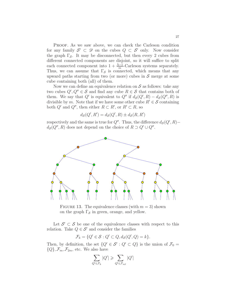PROOF. As we saw above, we can check the Carleson condition for any family  $\mathcal{S}' \subset \mathcal{D}$  on the cubes  $Q \subset \mathcal{S}'$  only. Now consider the graph  $\Gamma_{\mathcal{S}}$ . It may be disconnected, but then every 2 cubes from different connected components are disjoint, so it will suffice to split each connected component into  $1 + \frac{\Lambda - 1}{m}$ -Carleson systems separately. Thus, we can assume that  $\Gamma_{\mathcal{S}}$  is connected, which means that any upward paths starting from two (or more) cubes in  $\mathcal S$  merge at some cube containing both (all) of them.

Now we can define an equivalence relation on  $\mathcal S$  as follows: take any two cubes  $Q', Q'' \in \mathcal{S}$  and find any cube  $R \in \mathcal{S}$  that contains both of them. We say that  $Q'$  is equivalent to  $Q''$  if  $d_{\mathcal{S}}(Q', R) - d_{\mathcal{S}}(Q'', R)$  is divisible by m. Note that if we have some other cube  $R' \in \mathcal{S}$  containing both  $Q'$  and  $Q''$ , then either  $R \subset R'$ , or  $R' \subset R$ , so

$$
d_{\mathcal{S}}(Q', R') = d_{\mathcal{S}}(Q', R) \pm d_{\mathcal{S}}(R, R')
$$

respectively and the same is true for  $Q''$ . Thus, the difference  $d_{\mathcal{S}}(Q',R)$  –  $d_{\mathcal{S}}(Q'', R)$  does not depend on the choice of  $R \supset Q' \cup Q''$ .



FIGURE 13. The equivalence classes (with  $m = 3$ ) shown on the graph  $\Gamma_{\mathcal{S}}$  in green, orange, and yellow.

Let  $\mathcal{S}' \subset \mathcal{S}$  be one of the equivalence classes with respect to this relation. Take  $Q \in \mathcal{S}'$  and consider the families

$$
\mathcal{F}_k = \{ Q' \in \mathcal{S} : Q' \subset Q, d_{\mathcal{S}}(Q', Q) = k \}.
$$

Then, by definition, the set  $\{Q' \in \mathcal{S}' : Q' \subset Q\}$  is the union of  $\mathcal{F}_0 =$  ${Q}, \mathcal{F}_m, \mathcal{F}_{2m}$ , etc. We also have

$$
\sum_{Q'\in\mathcal{F}_k}|Q'|\geqslant \sum_{Q'\in\mathcal{F}_{ml}}|Q'|
$$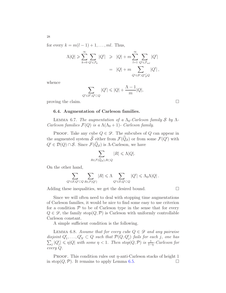for every  $k = m(l-1)+1, \ldots, ml$ . Thus,

$$
\Lambda|Q| \geqslant \sum_{k=0}^{\infty} \sum_{Q' \in \mathcal{F}_k} |Q'| \geqslant |Q| + m \sum_{l=1}^{\infty} \sum_{Q' \in \mathcal{F}_{ml}} |Q'|
$$
  
= 
$$
|Q| + m \sum_{Q' \in \mathcal{S}', Q' \subsetneqq Q} |Q'|,
$$

whence

$$
\sum_{Q' \in \mathcal{S}', Q' \subset Q} |Q'| \leqslant |Q| + \frac{\Lambda - 1}{m} |Q|,
$$

proving the claim.

# 6.4. Augmentation of Carleson families.

<span id="page-27-0"></span>LEMMA 6.7. *The augmentation of a*  $\Lambda_0$ -Carleson family S by  $\Lambda$ -*Carleson families*  $\mathcal{F}(Q)$  *is a*  $\Lambda(\Lambda_0 + 1)$ *- Carleson family.* 

PROOF. Take any cube  $Q \in \mathscr{D}$ . The subcubes of Q can appear in the augmented system  $\overline{S}$  either from  $\mathcal{F}(\overline{Q}_{\mathcal{S}})$  or from some  $\mathcal{F}(Q')$  with  $Q' \in \mathcal{D}(Q) \cap \mathcal{S}$ . Since  $\mathcal{F}(\widehat{Q}_{\mathcal{S}})$  is  $\Lambda$ -Carleson, we have

$$
\sum_{R \in \mathcal{F}(\widehat{Q}_{\mathcal{S}}), R \subset Q} |R| \leq \Lambda |Q|.
$$

On the other hand,

$$
\sum_{Q' \in \mathcal{S}, Q' \subset Q} \sum_{R \in \mathcal{F}(Q')} |R| \leq \Lambda \sum_{Q' \in \mathcal{S}, Q' \subset Q} |Q'| \leq \Lambda_0 \Lambda |Q|.
$$

Adding these inequalities, we get the desired bound.

Since we will often need to deal with stopping time augmentations of Carleson families, it would be nice to find some easy to use criterion for a condition  $P$  to be of Carleson type in the sense that for every  $Q \in \mathscr{D}$ , the family stop $(Q, \mathcal{P})$  is Carleson with uniformly controllable Carleson constant.

A simple sufficient condition is the following.

<span id="page-27-1"></span>LEMMA 6.8. *Assume that for every cube*  $Q \in \mathscr{D}$  *and any pairwise* disjoint  $Q'_1, \ldots, Q'_N \subset Q$  such that  $\mathcal{P}(Q, Q'_j)$  fails for each j, one has  $\sum_{j} |Q'_j| \leqslant \eta |Q|$  with some  $\eta < 1$ . Then  $stop(Q, \mathcal{P})$  is  $\frac{1}{1-\eta}$ -Carleson for *every* Q*.*

**PROOF.** This condition rules out  $\eta$ -anti-Carleson stacks of height 1 in stop $(Q, \mathcal{P})$ . It remains to apply Lemma [6.5.](#page-24-1)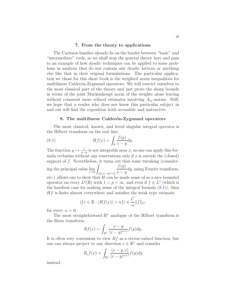# 7. From the theory to applications

<span id="page-28-0"></span>The Carleson families already lie on the border between "basic" and "intermediate" tools, so we shall stop the general theory here and pass to an example of how dyadic techniques can be applied to some problems in analysis that do not contain any dyadic lattices or anything else like that in their original formulations. The particular application we chose for this short book is the weighted norm inequalities for multilinear Calderón-Zygmund operators. We will restrict ourselves to the most classical part of the theory and just prove the sharp bounds in terms of the joint Muckenhoupt norm of the weights alone leaving without comment more refined estimates involving  $A_{\infty}$ -norms. Still, we hope that a reader who does not know this particular subject in and out will find the exposition both accessible and instructive.

#### <span id="page-28-2"></span>8. The multilinear Calderón-Zygmund operators

<span id="page-28-1"></span>The most classical, known, and loved singular integral operator is the Hilbert transform on the real line:

(8.1) 
$$
Hf(x) = \int_{\mathbb{R}} \frac{f(y)}{x - y} dy.
$$

The function  $y \mapsto \frac{1}{x-y}$  is not integrable near x, so one can apply this formula verbatim without any reservations only if  $x$  is outside the (closed) support of  $f$ . Nevertheless, it turns out that some tweaking (considering the principal value  $\lim_{\varepsilon \to 0}$ Z  $\{y:|x-y|>\varepsilon\}$  $f(y)$  $x - y$ dy, using Fourier transform, etc.) allows one to show that  $H$  can be made sense of as a nice bounded operator on every  $L^p(\mathbb{R})$  with  $1 < p < \infty$ , and even if  $f \in L^1$  (which is the harshest case for making sense of the integral formula  $(8.1)$ , then  $Hf$  is finite almost everywhere and satisfies the weak type estimate

$$
|\{x \in \mathbb{R} : |Hf(x)| > \alpha\}| \leqslant \frac{C}{\alpha} ||f||_{L^1}
$$

for every  $\alpha > 0$ .

The most straightforward  $\mathbb{R}^n$  analogue of the Hilbert transform is the Riesz transform:

$$
Rf(x) = \int_{\mathbb{R}^n} \frac{x - y}{|x - y|^{n+1}} f(y) dy.
$$

It is often very convenient to view  $Rf$  as a vector-valued function, but one can always project to any direction  $e \in \mathbb{R}^n$  and consider

$$
R_{e}f(x) = \int_{\mathbb{R}^{n}} \frac{\langle x - y, e \rangle}{|x - y|^{n+1}} f(y) dy
$$

instead.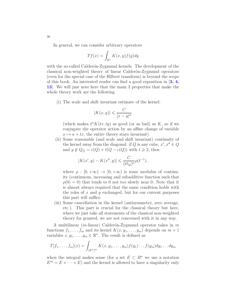<span id="page-29-0"></span>In general, we can consider arbitrary operators

$$
Tf(x) = \int_{\mathbb{R}^n} K(x, y) f(y) dy
$$

with the so-called Calderón-Zygmund kernels. The development of the classical non-weighted theory of linear Calderon-Zygmund operators (even for the special case of the Hilbert transform) is beyond the scope of this book. An interested reader can find a good exposition in  $\mathbf{3, 4}$  $\mathbf{3, 4}$  $\mathbf{3, 4}$ , [13](#page-52-3)]. We will just note here that the main 3 properties that make the whole theory work are the following.

(i) The scale and shift invariant estimate of the kernel:

$$
|K(x,y)| \leqslant \frac{C}{|x-y|^n}
$$

(which makes  $t^n K(tx, ty)$  as good (or as bad) as K, so if we conjugate the operator action by an affine change of variable  $x \mapsto a + tx$ , the entire theory stays invariant).

(ii) Some reasonable (and scale and shift invariant) continuity of the kernel away from the diagonal: if Q is any cube,  $x', x'' \in Q$ and  $y \notin Q_{[t]} = c(Q) + t(Q - c(Q))$  with  $t \geq 2$ , then

$$
|K(x',y) - K(x'',y)| \leqslant \frac{C}{(t\ell_Q)^n} \rho(t^{-1}),
$$

where  $\rho : [0, +\infty) \rightarrow [0, +\infty)$  is some modulus of continuity (continuous, increasing and subadditive function such that  $\rho(0) = 0$ ) that tends to 0 not too slowly near 0. Note that it is almost always required that the same condition holds with the roles of  $x$  and  $y$  exchanged, but for our current purposes this part will suffice.

(iii) Some cancellation in the kernel (antisymmetry, zero average, etc.). This part is crucial for the classical theory but here, where we just take all statements of the classical non-weighted theory for granted, we are not concerned with it in any way.

A multilinear (*m*-linear) Calderón-Zygmund operator takes in  $m$ functions  $f_1, \ldots, f_m$  and its kernel  $K(x, y_1, \ldots, y_m)$  depends on  $m + 1$ variables  $x, y_1, \ldots, y_m \in \mathbb{R}^n$ . The result is defined as

$$
T[f_1,\ldots,f_m](x)=\int_{(\mathbb{R}^n)^m}K(x,y_1,\ldots,y_m)f(y_1)\ldots f(y_m)dy_1\ldots dy_m
$$

when the integral makes sense (for a set  $E \subset R^n$  we use a notation  $E^m = E \times \cdots \times E$  and the kernel is allowed to have a singularity only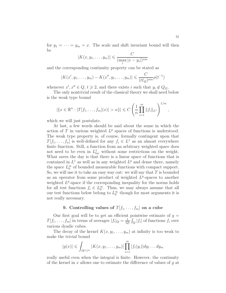for  $y_1 = \cdots = y_m = x$ . The scale and shift invariant bound will then be

$$
|K(x, y_1, \dots, y_m)| \leqslant \frac{C}{(\max_i |x - y_i|)^{nm}}
$$

and the corresponding continuity property can be stated as

$$
|K(x', y_1, \dots, y_m) - K(x'', y_1, \dots, y_m)| \leq \frac{C}{(t\ell_Q)^{mn}} \rho(t^{-1})
$$

whenever  $x', x'' \in Q$ ,  $t \ge 2$ , and there exists i such that  $y_i \notin Q_{[t]}$ .

The only nontrivial result of the classical theory we shall need below is the weak type bound

$$
|\{x \in \mathbb{R}^n : |T[f_1,\ldots,f_m](x)| > \alpha\}| \leq C \left(\frac{1}{\alpha}\prod_{i=1}^m ||f_i||_{L^1}\right)^{1/m},
$$

which we will just postulate.

At last, a few words should be said about the sense in which the action of  $T$  in various weighted  $L^p$  spaces of functions is understood. The weak type property is, of course, formally contingent upon that  $T[f_1,\ldots,f_n]$  is well-defined for any  $f_i \in L^1$  as an almost everywhere finite function. Still, a function from an arbitrary weighted space does not need to be even in  $L^1_{loc}$  without some restrictions on the weight. What saves the day is that there is a linear space of functions that is contained in  $L^1$  as well as in any weighted  $L^p$  and dense there, namely the space  $L_0^{\infty}$  of bounded measurable functions with compact support. So, we will use it to take an easy way out: we will say that  $T$  is bounded as an operator from some product of weighted  $L^p$ -spaces to another weighted  $L^p$ -space if the corresponding inequality for the norms holds for all test functions  $f_i \in L_0^{\infty}$ . Thus, we may always assume that all our test functions below belong to  $L_0^{\infty}$  though for most arguments it is not really necessary.

# 9. Controlling values of  $T[f_1, \ldots, f_m]$  on a cube

<span id="page-30-0"></span>Our first goal will be to get an efficient pointwise estimate of  $g =$  $T[f_1,\ldots,f_m]$  in terms of averages  $|f_i|_Q=\frac{1}{|Q|}$  $\frac{1}{|Q|} \int_Q |f_i|$  of functions  $f_i$  over various dyadic cubes.

The decay of the kernel  $K(x, y_1, \ldots, y_m)$  at infinity is too weak to make the trivial bound

$$
|g(x)| \leq \int_{(\mathbb{R}^n)^m} |K(x, y_1, \dots, y_m)| \prod_{i=1}^m |f_i(y_i)| dy_1 \dots dy_m
$$

really useful even when the integral is finite. However, the continuity of the kernel in  $x$  allows one to estimate the difference of values of  $g$  at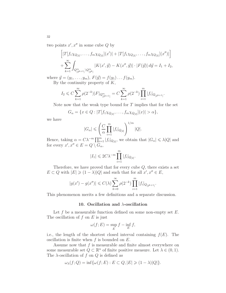two points  $x', x''$  in some cube Q by

$$
\[|T[f_1\chi_{Q_{[2]}},\ldots,f_m\chi_{Q_{[2]}}](x')|+|T[f_1\chi_{Q_{[2]}},\ldots,f_m\chi_{Q_{[2]}}](x'')|\] + \sum_{k=1}^{\infty}\int_{Q_{[2^{k+1}]}^m\setminus Q_{[2^k]}^m} |K(x',\vec{y})-K(x'',\vec{y})|\cdot|F(\vec{y})|\,d\vec{y}=I_1+I_2,
$$

where  $\vec{y} = (y_1, \ldots, y_m), F(\vec{y}) = f(y_1) \ldots f(y_m).$ By the continuity property of  $K$ ,

$$
I_2 \leqslant C \sum_{k=1}^\infty \rho(2^{-k}) |F|_{Q^m_{[2^{k+1}]} } = C \sum_{k=1}^\infty \rho(2^{-k}) \prod_{i=1}^m |f_i|_{Q_{[2^{k+1}]} }.
$$

Note now that the weak type bound for  $T$  implies that for the set

$$
G_{\alpha} = \{x \in Q : |T[f_1 \chi_{Q_{[2]}}, \ldots, f_m \chi_{Q_{[2]}}](x)| > \alpha\},\
$$

we have

$$
|G_{\alpha}| \leqslant \left(\frac{C}{\alpha} \prod_{i=1}^{m} |f_i|_{Q_{[2]}}\right)^{1/m} |Q|.
$$

Hence, taking  $\alpha = C\lambda^{-m} \prod_{i=1}^m |f_i|_{Q_{[2]}}$ , we obtain that  $|G_{\alpha}| \leq \lambda |Q|$  and for every  $x', x'' \in E = Q \setminus G_{\alpha}$ ,

$$
|I_1| \leq 2C\lambda^{-m} \prod_{i=1}^m |f_i|_{Q_{[2]}}.
$$

Therefore, we have proved that for every cube  $Q$ , there exists a set  $E \subset Q$  with  $|E| \geq (1 - \lambda)|Q|$  and such that for all  $x', x'' \in E$ ,

$$
|g(x') - g(x'')| \leq C(\lambda) \sum_{k=0}^{\infty} \rho(2^{-k}) \prod_{i=1}^{m} |f_i|_{Q_{[2^{k+1}]}}.
$$

<span id="page-31-0"></span>This phenomenon merits a few definitions and a separate discussion.

# 10. Oscillation and  $\lambda$ -oscillation

Let  $f$  be a measurable function defined on some non-empty set  $E$ . The oscillation of  $f$  on  $E$  is just

$$
\omega(f; E) = \sup_E f - \inf_E f,
$$

i.e., the length of the shortest closed interval containing  $f(E)$ . The oscillation is finite when  $f$  is bounded on  $E$ .

Assume now that  $f$  is measurable and finite almost everywhere on some measurable set  $Q \subset \mathbb{R}^n$  of finite positive measure. Let  $\lambda \in (0, 1)$ . The  $\lambda$ -oscillation of f on Q is defined as

$$
\omega_{\lambda}(f;Q) = \inf \{ \omega(f;E) : E \subset Q, |E| \geq (1 - \lambda)|Q| \}.
$$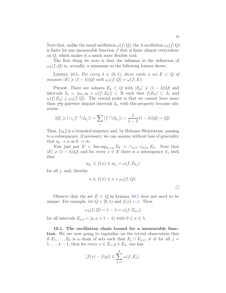Note that, unlike the usual oscillation  $\omega(f; Q)$ , the  $\lambda$ -oscillation  $\omega_{\lambda}(f; Q)$ is finite for any measurable function  $f$  that is finite almost everywhere on Q, which makes it a much more flexible tool.

The first thing we note is that the infimum in the definition of  $\omega_{\lambda}(f; Q)$  is, actually, a minimum as the following lemma shows.

<span id="page-32-0"></span>LEMMA 10.1. *For every*  $\lambda \in (0,1)$ *, there exists a set*  $E \subset Q$  *of measure*  $|E| \geq (1 - \lambda)|Q|$  *with*  $\omega_{\lambda}(f; Q) = \omega(f; E)$ *.* 

PROOF. There are subsets  $E_k \subset Q$  with  $|E_k| \geq (1 - \lambda)|Q|$  and intervals  $I_k = [a_k, a_k + \omega(f; E_k)] \subset \mathbb{R}$  such that  $f(E_k) \subset I_k$  and  $\omega(f; E_k) \downarrow \omega_\lambda(f; Q)$ . The crucial point is that we cannot have more than  $\frac{1}{1-\lambda}$  pairwise disjoint intervals  $I_{k_j}$  with this property because otherwise

$$
|Q| \geq |U_j f^{-1}(I_{k_j})| = \sum_j |f^{-1}(I_{k_j})| > \frac{1}{1 - \lambda}(1 - \lambda)|Q| = |Q|.
$$

Thus,  $\{a_k\}$  is a bounded sequence and, by Bolzano-Weierstrass, passing to a subsequence, if necessary, we can assume without loss of generality that  $a_k \to a$  as  $k \to \infty$ .

Now just put  $E = \limsup_{k \to \infty} E_k = \bigcap_{n \geq 1} \bigcup_{k \geq n} E_k$ . Note that  $|E| \geq (1 - \lambda)|Q|$  and for every  $x \in E$  there is a subsequence  $k_j$  such that

$$
a_{k_j} \leqslant f(x) \leqslant a_{k_j} + \omega(f; E_{k_j})
$$

for all  $j$ , and, thereby,

$$
a \leqslant f(x) \leqslant a + \omega_{\lambda}(f; Q).
$$

 $\Box$ 

Observe that the set  $E \subset Q$  in Lemma [10.1](#page-32-0) does not need to be unique. For example, let  $Q = [0, 1)$  and  $f(x) = x$ . Then

$$
\omega_{\lambda}(f;Q) = 1 - \lambda = \omega(f; E_{a,\lambda})
$$

for all intervals  $E_{a,\lambda} = [a, a+1-\lambda)$  with  $0 \leq a \leq \lambda$ .

10.1. The oscillation chain bound for a measurable function. We are now going to capitalize on the trivial observation that if  $E_1, \ldots, E_k$  is a chain of sets such that  $E_j \cap E_{j+1} \neq \emptyset$  for all  $j =$  $1, \ldots, k-1$ , then for every  $x \in E_1, y \in E_k$ , one has

$$
|f(x) - f(y)| \leqslant \sum_{j=1}^{k} \omega(f; E_j).
$$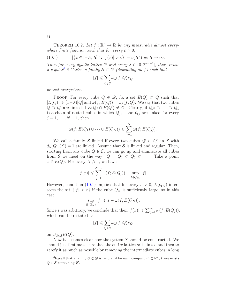<span id="page-33-2"></span>THEOREM 10.2. Let  $f : \mathbb{R}^n \to \mathbb{R}$  be any measurable almost every*where finite function such that for every*  $\varepsilon > 0$ ,

<span id="page-33-1"></span>(10.1) 
$$
|\{x \in [-R, R]^n : |f(x)| > \varepsilon\}| = o(R^n) \text{ as } R \to \infty.
$$

*Then for every dyadic lattice*  $\mathscr D$  *and every*  $\lambda \in (0, 2^{-n-2}]$ *, there exists a regular*<sup>[4](#page-33-0)</sup> 6-Carleson family  $S \subset \mathcal{D}$  (depending on f) such that

$$
|f| \leqslant \sum_{Q \in \mathcal{S}} \omega_{\lambda}(f; Q) \chi_{Q}
$$

*almost everywhere.*

PROOF. For every cube  $Q \in \mathscr{D}$ , fix a set  $E(Q) \subset Q$  such that  $|E(Q)| \geq (1-\lambda)|Q|$  and  $\omega(f; E(Q)) = \omega_{\lambda}(f; Q)$ . We say that two cubes  $Q \supset Q'$  are linked if  $E(Q) \cap E(Q') \neq \emptyset$ . Clearly, if  $Q_N \supset \cdots \supset Q_1$ is a chain of nested cubes in which  $Q_{j+1}$  and  $Q_j$  are linked for every  $j = 1, \ldots, N - 1$ , then

$$
\omega(f; E(Q_1) \cup \dots \cup E(Q_N)) \leqslant \sum_{j=1}^N \omega(f; E(Q_j)).
$$

We call a family S linked if every two cubes  $Q' \subset Q''$  in S with  $d_{\mathcal{S}}(Q', Q'') = 1$  are linked. Assume that  $\mathcal{S}$  is linked and regular. Then, starting from any cube  $Q \in \mathcal{S}$ , we can go up and enumerate all cubes from S we meet on the way:  $Q = Q_1 \subset Q_2 \subset \ldots$  Take a point  $x \in E(Q)$ . For every  $N \geq 1$ , we have

$$
|f(x)| \leq \sum_{j=1}^{N-1} \omega(f; E(Q_j)) + \sup_{E(Q_N)} |f|.
$$

However, condition [\(10.1\)](#page-33-1) implies that for every  $\varepsilon > 0$ ,  $E(Q_N)$  intersects the set  $\{|f| < \varepsilon\}$  if the cube  $Q_N$  is sufficiently large, so in this case,

$$
\sup_{E(Q_N)}|f| \leq \varepsilon + \omega(f; E(Q_N)).
$$

Since  $\varepsilon$  was arbitrary, we conclude that then  $|f(x)| \leqslant \sum_{j=1}^{\infty} \omega(f; E(Q_j)),$ which can be restated as

$$
|f| \leqslant \sum_{Q \in \mathcal{S}} \omega_{\lambda}(f; Q) \chi_{Q}
$$

on  $\cup_{Q\in\mathcal{S}}E(Q)$ .

Now it becomes clear how the system  $\mathcal S$  should be constructed. We should just first make sure that the entire lattice  $\mathscr D$  is linked and then to rarefy it as much as possible by removing the intermediate cubes in long

<span id="page-33-0"></span><sup>&</sup>lt;sup>4</sup>Recall that a family  $S \subset \mathscr{D}$  is regular if for each compact  $K \subset \mathbb{R}^n$ , there exists  $Q \in \mathcal{S}$  containing K.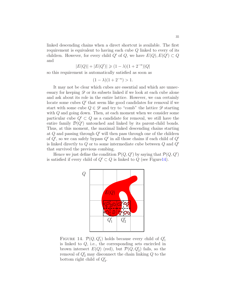linked descending chains when a direct shortcut is available. The first requirement is equivalent to having each cube Q linked to every of its children. However, for every child  $Q'$  of  $Q$ , we have  $E(Q), E(Q') \subset Q$ and

$$
|E(Q)| + |E(Q')| \geq (1 - \lambda)(1 + 2^{-n})|Q|
$$

so this requirement is automatically satisfied as soon as

$$
(1 - \lambda)(1 + 2^{-n}) > 1.
$$

It may not be clear which cubes are essential and which are unnecessary for keeping  $\mathscr D$  or its subsets linked if we look at each cube alone and ask about its role in the entire lattice. However, we can certainly locate some cubes  $Q'$  that seem like good candidates for removal if we start with some cube  $Q \in \mathscr{D}$  and try to "comb" the lattice  $\mathscr{D}$  starting with Q and going down. Then, at each moment when we consider some particular cube  $Q' \subset Q$  as a candidate for removal, we still have the entire family  $\mathcal{D}(Q')$  untouched and linked by its parent-child bonds. Thus, at this moment, the maximal linked descending chains starting at  $Q$  and passing through  $Q'$  will then pass through one of the children of  $Q'$ , so we can safely bypass  $Q'$  in all those chains if each child of  $Q'$ is linked directly to  $Q$  or to some intermediate cube between  $Q$  and  $Q'$ that survived the previous combing.

Hence we just define the condition  $\mathcal{P}(Q, Q')$  by saying that  $\mathcal{P}(Q, Q')$ is satisfied if every child of  $Q' \subset Q$  is linked to Q (see Figure 14).



<span id="page-34-0"></span>FIGURE 14.  $\mathcal{P}(Q, Q'_1)$  holds because every child of  $Q'_1$ is linked to Q, i.e., the corresponding sets encircled in brown intersect  $E(Q)$  (red), but  $\mathcal{P}(Q, Q'_2)$  fails, so the removal of  $Q'_2$  may disconnect the chain linking  $Q$  to the bottom right child of  $Q'_2$ .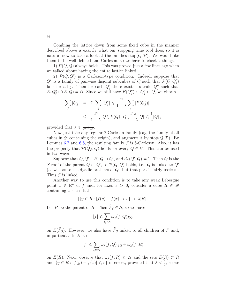Combing the lattice down from some fixed cube in the manner described above is exactly what our stopping time tool does, so it is natural now to take a look at the families  $stop(Q, P)$ . We would like them to be well-defined and Carleson, so we have to check 2 things:

1)  $\mathcal{P}(Q, Q)$  always holds. This was proved just a few lines ago when we talked about having the entire lattice linked.

2)  $\mathcal{P}(Q, Q')$  is a Carleson-type condition. Indeed, suppose that  $Q'_{j}$  is a family of pairwise disjoint subcubes of Q such that  $\mathcal{P}(Q, Q'_{j})$ fails for all j. Then for each  $Q'_j$  there exists its child  $Q''_j$  such that  $E(Q_j'') \cap E(Q) = \emptyset$ . Since we still have  $E(Q_j'') \subset Q_j'' \subset Q$ , we obtain

$$
\sum_{j} |Q'_j| = 2^n \sum_{j} |Q''_j| \leq \frac{2^n}{1-\lambda} \sum_{j} |E(Q''_j)|
$$
  

$$
\leq \frac{2^n}{1-\lambda} |Q \setminus E(Q)| \leq \frac{2^n \lambda}{1-\lambda} |Q| \leq \frac{1}{2} |Q|,
$$

provided that  $\lambda \leq \frac{1}{2^{n+1}+1}$ .

Now just take any regular 2-Carleson family (say, the family of all cubes in  $\mathscr D$  containing the origin), and augment it by stop $(Q, \mathcal P)$ . By Lemmas [6.7](#page-27-0) and [6.8,](#page-27-1) the resulting family  $S$  is 6-Carleson. Also, it has the property that  $\mathcal{P}(Q_{\mathcal{S}}, Q)$  holds for every  $Q \in \mathscr{D}$ . This can be used in two ways.

Suppose that  $Q, Q' \in \mathcal{S}, Q \supset Q'$ , and  $d_{\mathcal{S}}(Q', Q) = 1$ . Then  $Q$  is the S-roof of the parent  $Q$  of  $Q'$ , so  $\mathcal{P}(Q, Q)$  holds, i.e.,  $Q$  is linked to  $Q'$ (as well as to the dyadic brothers of  $Q'$ , but that part is fairly useless). Thus  $S$  is linked.

Another way to use this condition is to take any weak Lebesgue point  $x \in \mathbb{R}^n$  of f and, for fixed  $\varepsilon > 0$ , consider a cube  $R \in \mathscr{D}$ containing  $x$  such that

$$
|\{y \in R : |f(y) - f(x)| > \varepsilon\}| < \lambda |R|.
$$

Let P be the parent of R. Then  $\widehat{P}_{\mathcal{S}} \in \mathcal{S}$ , so we have

$$
|f| \leqslant \sum_{Q \in \mathcal{S}} \omega_{\lambda}(f; Q) \chi_{Q}
$$

on  $E(\widehat{P}_{\mathcal{S}})$ . However, we also have  $\widehat{P}_{\mathcal{S}}$  linked to all children of P and, in particular to  $R$ , so

$$
|f|\leqslant \sum_{Q\in\mathcal{S}}\omega_\lambda(f;Q)\chi_Q+\omega_\lambda(f;R)
$$

on  $E(R)$ . Next, observe that  $\omega_{\lambda}(f; R) \leq 2\varepsilon$  and the sets  $E(R) \subset R$ and  $\{y \in R : |f(y) - f(x)| \leq \varepsilon\}$  intersect, provided that  $\lambda < \frac{1}{2}$ , so we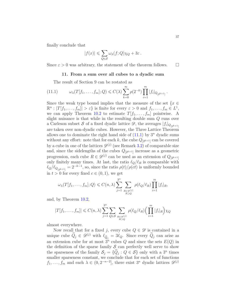finally conclude that

$$
|f(x)| \leqslant \sum_{Q \in \mathcal{S}} \omega_{\lambda}(f; Q) \chi_{Q} + 3\varepsilon \,.
$$

<span id="page-36-0"></span>Since  $\varepsilon > 0$  was arbitrary, the statement of the theorem follows.  $\Box$ 

# <span id="page-36-1"></span>11. From a sum over all cubes to a dyadic sum

The result of Section 9 can be restated as

(11.1) 
$$
\omega_{\lambda}(T[f_1,\ldots,f_m];Q) \leq C(\lambda) \sum_{k=0}^{\infty} \rho(2^{-k}) \prod_{i=1}^{m} |f_i|_{Q_{[2^{k+1}]}}.
$$

Since the weak type bound implies that the measure of the set  $\{x \in \mathbb{R}^n : |f(x)| \leq 1\}$  $\mathbb{R}^n : |T[f_1, \ldots, f_m]| > \varepsilon$  is finite for every  $\varepsilon > 0$  and  $f_1, \ldots, f_m \in L^1$ , we can apply Theorem [10.2](#page-33-2) to estimate  $T[f_1, \ldots, f_m]$  pointwise. A slight nuisance is that while in the resulting double sum Q runs over a Carleson subset S of a fixed dyadic lattice  $\mathscr{D}$ , the averages  $|f_i|_{Q_{[2^{k+1}]}}$ are taken over non-dyadic cubes. However, the Three Lattice Theorem allows one to dominate the right hand side of  $(11.1)$  by  $3<sup>n</sup>$  dyadic sums without any effort: note that for each k, the cube  $Q_{[2^{k+1}]}$  can be covered by a cube in one of the lattices  $\mathscr{D}^{(j)}$  (see Remark [3.2\)](#page-13-2) of comparable size and, since the sidelengths of the cubes  $Q_{[2^{k+1}]}$  increase as a geometric progression, each cube  $R \in \mathscr{D}^{(j)}$  can be used as an extension of  $Q_{[2^{k+1}]}$ only finitely many times. At last, the ratio  $\ell_Q/\ell_R$  is comparable with  $\ell_Q/\ell_{Q_{[2^{k+1}]}} = 2^{-k-1}$ , so, since the ratio  $\rho(t)/\rho(ct)$  is uniformly bounded in  $t > 0$  for every fixed  $c \in (0, 1)$ , we get

$$
\omega_{\lambda}(T[f_1,\ldots,f_m];Q) \leqslant C(n,\lambda)\sum_{j=1}^{3^n}\sum_{\substack{R\in\mathscr{D}(j)\\R\supset Q}}\rho(\ell_Q/\ell_R)\prod_{i=1}^m|f_i|_R,
$$

and, by Theorem [10.2,](#page-33-2)

$$
|T[f_1,\ldots,f_m]| \leqslant C(n,\lambda)\sum_{j=1}^{3^n}\sum_{Q\in\mathcal{S}}\sum_{\substack{R\in\mathcal{D}^{(j)}\\R\supset Q}}\rho(\ell_Q/\ell_R)\Big(\prod_{i=1}^m|f_i|_R\Big)\chi_Q
$$

almost everywhere.

Now recall that for a fixed j, every cube  $Q \in \mathscr{D}$  is contained in a unique cube  $\tilde{Q}_j \in \mathscr{D}^{(j)}$  with  $\ell_{\tilde{Q}_j} = 3\ell_Q$ . Since every  $\tilde{Q}_j$  can arise as an extension cube for at most  $3^n$  cubes Q and since the sets  $E(Q)$  in the definition of the sparse family  $S$  can perfectly well serve to show the sparseness of the family  $S_j = \{Q_j : Q \in S\}$  only with a 3<sup>n</sup> times smaller sparseness constant, we conclude that for each set of functions  $f_1, \ldots, f_m$  and each  $\lambda \in (0, 2^{-n-2}]$ , there exist  $3^n$  dyadic lattices  $\mathscr{D}^{(j)}$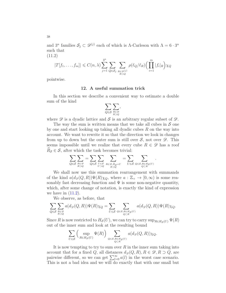and  $3^n$  families  $S_j \subset \mathscr{D}^{(j)}$  each of which is  $\Lambda$ -Carleson with  $\Lambda = 6 \cdot 3^n$ such that (11.2)

<span id="page-37-1"></span>
$$
|T[f_1,\ldots,f_m]| \leqslant C(n,\lambda)\sum_{j=1}^{3^n} \sum_{\substack{Q\in\mathcal{S}_j\\R\supset Q}} \rho(\ell_Q/\ell_R) \Big(\prod_{i=1}^m |f_i|_R\Big) \chi_Q
$$

<span id="page-37-0"></span>pointwise.

# 12. A useful summation trick

In this section we describe a convenient way to estimate a double sum of the kind

$$
\sum_{Q\in\mathcal{S}}\sum_{\mathop{R\in\mathscr{D}\atop R\supset Q}},
$$

where  $\mathscr D$  is a dyadic lattice and  $\mathscr S$  is an arbitrary regular subset of  $\mathscr D$ .

The way the sum is written means that we take all cubes in  $\mathcal S$  one by one and start looking up taking all dyadic cubes  $R$  on the way into account. We want to rewrite it so that the direction we look in changes from up to down but the outer sum is still over  $\mathcal{S}$ , not over  $\mathcal{D}$ . This seems impossible until we realize that every cube  $R \in \mathscr{D}$  has a roof  $R_{\mathcal{S}} \in \mathcal{S}$ , after which the task becomes trivial:

$$
\sum_{Q\in\mathcal{S}}\sum_{\mathclap{\substack{R\in\mathcal{D}\\R\supset Q}}}=\sum_{Q\in\mathcal{S}}\sum_{\mathclap{\substack{U\in\mathcal{S}\\U\supset Q}}}\sum_{\mathclap{\substack{R\in\mathcal{D},\widehat{R}_{\mathcal{S}}=U\\R\supset Q}}=\sum_{\mathclap{U\in\mathcal{S}}}\sum_{\mathclap{Q\in\mathcal{S},R\in H_{\mathcal{S}}(U)}}
$$

.

We shall now use this summation rearrangement with summands of the kind  $a(d_{\mathscr{D}}(Q, R))\Psi(R)\chi_Q$ , where  $a : \mathbb{Z}_+ \to [0, \infty)$  is some reasonably fast decreasing function and  $\Psi$  is some non-negative quantity, which, after some change of notation, is exactly the kind of expression we have in  $(11.2)$ .

We observe, as before, that

$$
\sum_{Q\in\mathcal{S}}\sum_{\stackrel{R\in\mathscr{D}}{R\supset Q}}a(d_{\mathscr{D}}(Q,R))\Psi(R)\chi_{Q}=\sum_{U\in\mathcal{S}}\sum_{\stackrel{Q\in\mathcal{S},R\in H_{\mathcal{S}}(U)}{Q\subset R}}a(d_{\mathscr{D}}(Q,R))\Psi(R)\chi_{Q}.
$$

Since R is now restricted to  $H_{\mathcal{S}}(U)$ , we can try to carry sup $_{R\in H_{\mathcal{S}}(U)}\Psi(R)$ out of the inner sum and look at the resulting bound

$$
\sum_{U \in \mathcal{S}} \Big( \sup_{R \in H_{\mathcal{S}}(U)} \Psi(R) \Big) \sum_{Q \in \mathcal{S}, R \in H_{\mathcal{S}}(U)} a(d_{\mathscr{D}}(Q, R)) \chi_{Q}.
$$

It is now tempting to try to sum over  $R$  in the inner sum taking into account that for a fixed Q, all distances  $d_{\mathscr{D}}(Q, R), R \in \mathscr{D}, R \supset Q$ , are pairwise different, so we can get  $\sum_{l=0}^{\infty} a(l)$  in the worst case scenario. This is not a bad idea and we will do exactly that with one small but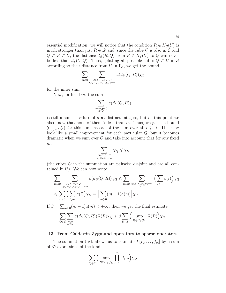essential modification: we will notice that the condition  $R \in H<sub>S</sub>(U)$  is much stronger than just  $R \in \mathcal{D}$  and, since the cube Q is also in S and  $Q \subset R \subset U$ , the distance  $d_{\mathscr{D}}(R, Q)$  from  $R \in H_{\mathcal{S}}(U)$  to  $Q$  can never be less than  $d_{\mathcal{S}}(U, Q)$ . Thus, splitting all possible cubes  $Q \subset U$  in  $\mathcal S$ according to their distance from U in  $\Gamma_{\mathcal{S}}$ , we get the bound

$$
\sum_{m\geqslant 0}\sum_{Q\in\mathcal{S},R\in H_{\mathcal{S}}(U)\atop Q\subset R\subset U, d_{\mathcal{S}}(Q,U)=m}a(d_{\mathscr{D}}(Q,R))\chi_{Q}
$$

for the inner sum.

Now, for fixed  $m$ , the sum

$$
\sum_{\substack{R \in H_{\mathcal{S}}(U) \\ R \supset Q}} a(d_{\mathscr{D}}(Q, R))
$$

is still a sum of values of a at distinct integers, but at this point we also know that none of them is less than  $m$ . Thus, we get the bound  $\sum_{l \geqslant m} a(l)$  for this sum instead of the sum over all  $l \geqslant 0$ . This may look like a small improvement for each particular Q, but it becomes dramatic when we sum over  $Q$  and take into account that for any fixed  $m,$ 

$$
\sum_{Q \in \mathcal{S}, Q \subset U \atop d_{\mathcal{S}}(Q, U) = m} \chi_Q \leq \chi_U
$$

(the cubes Q in the summation are pairwise disjoint and are all contained in  $U$ ). We can now write

$$
\sum_{m\geqslant 0}\sum_{\substack{Q\in\mathcal{S},R\in H_{\mathcal{S}}(U)\\ Q\subset R\subset U, d_{\mathcal{S}}(Q,U)=m}}a(d_{\mathscr{D}}(Q,R))\chi_{Q}\leqslant \sum_{m\geqslant 0}\sum_{\substack{Q\in\mathcal{S},d_{\mathcal{S}}(Q,U)=m\\ Q\subset U}}\Big(\sum_{l\geqslant m}a(l)\Big)\chi_{Q}
$$
  

$$
\leqslant \sum_{m\geqslant 0}\Big(\sum_{l\geqslant m}a(l)\Big)\chi_{U}=\Big[\sum_{m\geqslant 0}(m+1)a(m)\Big]\chi_{U}.
$$

If  $\beta = \sum_{m\geqslant 0} (m+1)a(m) < +\infty$ , then we get the final estimate:

$$
\sum_{Q\in\mathcal{S}}\sum_{\substack{R\in\mathcal{D}\\ R\supset Q}}a(d_{\mathcal{D}}(Q,R))\Psi(R)\chi_{Q}\leqslant \beta\sum_{U\in\mathcal{S}}\Big(\sup_{R\in H_{\mathcal{S}}(U)}\Psi(R)\Big)\chi_{U}.
$$

# <span id="page-38-0"></span>13. From Calderón-Zygmund operators to sparse operators

The summation trick allows us to estimate  $T[f_1, \ldots, f_m]$  by a sum of  $3^n$  expressions of the kind

$$
\sum_{Q \in \mathcal{S}} \Big( \sup_{R \in H_{\mathcal{S}}(Q)} \prod_{i=1}^{m} |f_i|_{R} \Big) \chi_{Q}
$$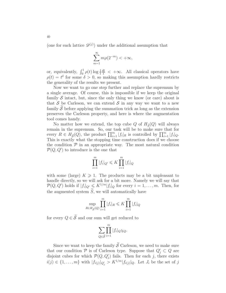(one for each lattice  $\mathscr{D}^{(j)}$ ) under the additional assumption that

$$
\sum_{m=1}^{\infty} m\rho(2^{-m}) < +\infty,
$$

or, equivalently,  $\int_0^1 \rho(t) \log \frac{1}{t}$  $\frac{dt}{t}$  < + $\infty$ . All classical operators have  $\rho(t) = t^{\delta}$  for some  $\delta > 0$ , so making this assumption hardly restricts the generality of the results we present.

Now we want to go one step further and replace the supremum by a single average. Of course, this is impossible if we keep the original family  $\mathcal S$  intact, but, since the only thing we know (or care) about is that  $S$  be Carleson, we can extend  $S$  in any way we want to a new family  $\tilde{S}$  before applying the summation trick as long as the extension preserves the Carleson property, and here is where the augmentation tool comes handy.

No matter how we extend, the top cube Q of  $H_{\tilde{\mathcal{S}}}(Q)$  will always remain in the supremum. So, our task will be to make sure that for every  $R \in H_{\tilde{\mathcal{S}}}(Q)$ , the product  $\prod_{i=1}^m |f_i|_R$  is controlled by  $\prod_{i=1}^m |f_i|_Q$ . This is exactly what the stopping time construction does if we choose the condition  $P$  in an appropriate way. The most natural condition  $\mathcal{P}(Q,Q')$  to introduce is the one that

$$
\prod_{i=1}^{m} |f_i|_{Q'} \leqslant K \prod_{i=1}^{m} |f_i|_{Q}
$$

with some (large)  $K \geq 1$ . The products may be a bit unpleasant to handle directly, so we will ask for a bit more. Namely we will say that  $\mathcal{P}(Q, Q')$  holds if  $|f_i|_{Q'} \leqslant K^{1/m} |f_i|_Q$  for every  $i = 1, \ldots, m$ . Then, for the augmented system  $\tilde{S}$ , we will automatically have

$$
\sup_{R \in H_{\widetilde{\mathcal{S}}}(Q)} \prod_{i=1}^m |f_i|_R \leqslant K \prod_{i=1}^m |f_i|_Q
$$

for every  $Q \in \widetilde{\mathcal{S}}$  and our sum will get reduced to

$$
\sum_{Q \in \widetilde{\mathcal{S}}} \prod_{i=1}^m |f_i|_Q \chi_Q.
$$

Since we want to keep the family  $\widetilde{\mathcal{S}}$  Carleson, we need to make sure that our condition  $P$  is of Carleson type. Suppose that  $Q'_j \subset Q$  are disjoint cubes for which  $\mathcal{P}(Q, Q'_j)$  fails. Then for each j, there exists  $i(j) \in \{1, \ldots, m\}$  with  $|f_{i(j)}|_{Q'_j} > K^{1/m} |f_{i(j)}|_Q$ . Let  $J_i$  be the set of j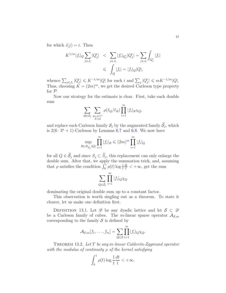for which  $i(j) = i$ . Then

$$
K^{1/m}|f_i|_Q \sum_{j \in J_i} |Q'_j| \leq \sum_{j \in J_i} |f_i|_{Q'_j} |Q'_j| = \sum_{j \in J_i} \int_{Q'_j} |f_i|
$$
  

$$
\leq \int_Q |f_i| = |f_i|_Q |Q|,
$$

whence  $\sum_{j\in J_i} |Q'_j| \leqslant K^{-1/m} |Q|$  for each i and  $\sum_j |Q'_j| \leqslant mK^{-1/m} |Q|$ . Thus, choosing  $\tilde{K} = (2m)^m$ , we get the desired Carleson type property for P.

Now our strategy for the estimate is clear. First, take each double sum

$$
\sum_{Q\in\mathcal{S}_j}\sum_{\substack{R\in\mathscr{D}^{(j)}\\R\supset Q}}\rho(\ell_Q/\ell_R)\prod_{i=1}^m|f_i|_R\chi_Q,
$$

and replace each Carleson family  $S_j$  by the augmented family  $S_j$ , which is  $2(6 \cdot 3^n + 1)$ -Carleson by Lemmas [6.7](#page-27-0) and [6.8.](#page-27-1) We now have

$$
\sup_{R \in H_{\widetilde{S}_j}(Q)} \prod_{i=1}^m |f_i|_R \leq (2m)^m \prod_{i=1}^m |f_i|_Q
$$

for all  $Q \in \mathcal{S}_j$  and since  $S_j \subset S_j$ , this replacement can only enlarge the double sum. After that, we apply the summation trick, and, assuming that  $\rho$  satisfies the condition  $\int_0^1 \rho(t) \log \frac{1}{t}$  $\frac{dt}{t}$  <  $+\infty$ , get the sum

$$
\sum_{Q \in \widetilde{\mathcal{S}}_j} \prod_{i=1}^m |f_i|_Q \chi_Q
$$

dominating the original double sum up to a constant factor.

This observation is worth singling out as a theorem. To state it clearer, let us make one definition first.

DEFINITION 13.1. Let  $\mathscr D$  be any dyadic lattice and let  $\mathcal S \subset \mathscr D$ be a Carleson family of cubes. The m-linear sparse operator  $A_{\mathcal{S},m}$ corresponding to the family  $\mathcal S$  is defined by

$$
\mathcal{A}_{\mathcal{S},m}[f_1,\ldots,f_m] = \sum_{Q \in \mathcal{S}} \prod_{i=1}^m (f_i)_{Q} \chi_Q.
$$

<span id="page-40-0"></span>Theorem 13.2. *Let* T *be any* m*-linear Calder´on-Zygmund operator with the modulus of continuity* ρ *of the kernel satisfying*

$$
\int_0^1 \rho(t) \log \frac{1}{t} \frac{dt}{t} < +\infty.
$$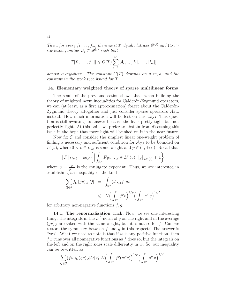*Then, for every*  $f_1, \ldots, f_m$ *, there exist*  $3^n$  *dyadic lattices*  $\mathscr{D}^{(j)}$  *and*  $14 \cdot 3^n$ *-Carleson families*  $S_j \subset \mathscr{D}^{(j)}$  such that

$$
|T[f_1,\ldots,f_m]| \leq C(T) \sum_{j=1}^{3^n} \mathcal{A}_{S_j,m}[|f_1|,\ldots,|f_m|]
$$

*almost everywhere. The constant* C(T) *depends on* n, m, ρ*, and the constant in the weak type bound for* T*.*

# <span id="page-41-0"></span>14. Elementary weighted theory of sparse multilinear forms

The result of the previous section shows that, when building the theory of weighted norm inequalities for Calderon-Zygmund operators, we can (at least, as a first approximation) forget about the Calder $\delta$ -Zygmund theory altogether and just consider sparse operators  $A_{\mathcal{S},m}$ instead. How much information will be lost on this way? This question is still awaiting its answer because the fit is pretty tight but not perfectly tight. At this point we prefer to abstain from discussing this issue in the hope that more light will be shed on it in the near future.

Now fix  $\mathcal S$  and consider the simplest linear one-weight problem of finding a necessary and sufficient condition for  $A_{\mathcal{S},1}$  to be bounded on  $L^p(v)$ , where  $0 < v \in L^1_{loc}$  is some weight and  $p \in (1, +\infty)$ . Recall that

$$
||F||_{L^{p}(v)} = \sup \left\{ \Big| \int_{\mathbb{R}^n} Fgv \Big| : g \in L^{p'}(v), ||g||_{L^{p'}(v)} \leq 1 \right\}
$$

where  $p' = \frac{p}{n}$  $\frac{p}{p-1}$  is the conjugate exponent. Thus, we are interested in establishing an inequality of the kind

$$
\sum_{Q \in \mathcal{S}} f_Q(gv)_Q |Q| = \int_{\mathbb{R}^n} (\mathcal{A}_{\mathcal{S},1} f) g v
$$
  

$$
\leqslant K \Big( \int_{\mathbb{R}^n} f^p v \Big)^{1/p} \Big( \int_{\mathbb{R}^n} g^{p'} v \Big)^{1/p'}
$$

for arbitrary non-negative functions  $f, g$ .

14.1. The renormalization trick. Now, we see one interesting thing: the integrals in the  $L^{p'}$ -norm of g on the right and in the average  $(gv)_Q$  are taken with the same weight, but it is not so for f. Can we restore the symmetry between  $f$  and  $g$  in this respect? The answer is "yes". What we need to note is that if  $w$  is any positive function, then  $fw$  runs over all nonnegative functions as  $f$  does so, but the integrals on the left and on the right sides scale differently in  $w$ . So, our inequality can be rewritten as

$$
\sum_{Q \in \mathcal{S}} (fw)_Q(gv)_Q|Q| \leqslant K \left( \int_{\mathbb{R}^n} f^p(w^pv) \right)^{1/p} \left( \int_{\mathbb{R}^n} g^{p'}v \right)^{1/p'}
$$

.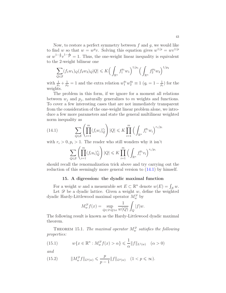Now, to restore a perfect symmetry between  $f$  and  $g$ , we would like to find w so that  $w = w^p v$ . Solving this equation gives  $w^{1/p} = w v^{1/p}$ or  $w^{1-\frac{1}{p}}v^{1-\frac{1}{p'}}=1$ . Thus, the one-weight linear inequality is equivalent to the 2-weight bilinear one

$$
\sum_{Q \in \mathcal{S}} (f_1 w_1)_Q (f_2 w_2)_Q |Q| \leq K \Big( \int_{\mathbb{R}^n} f_1^{p_1} w_1 \Big)^{1/p_1} \Big( \int_{\mathbb{R}^n} f_2^{p_2} w_2 \Big)^{1/p_2}
$$

with  $\frac{1}{p_1} + \frac{1}{p_2}$  $\frac{1}{p_2} = 1$  and the extra relation  $w_1^{q_1} w_2^{q_2} \equiv 1$   $(q_i = 1 - \frac{1}{p_i})$  $\frac{1}{p_i}$ ) for the weights.

The problem in this form, if we ignore for a moment all relations between  $w_j$  and  $p_j$ , naturally generalizes to m weights and functions. To cover a few interesting cases that are not immediately transparent from the consideration of the one-weight linear problem alone, we introduce a few more parameters and state the general multilinear weighted norm inequality as

(14.1) 
$$
\sum_{Q \in \mathcal{S}} \left( \prod_{i=1}^m (f_i w_i)_Q^{r_i} \right) |Q| \leqslant K \prod_{i=1}^m \left( \int_{\mathbb{R}^n} f_i^{p_i} w_i \right)^{r_i/p_i}
$$

with  $r_i > 0, p_i > 1$ . The reader who still wonders why it isn't

<span id="page-42-1"></span>
$$
\sum_{Q \in \mathcal{S}} \left( \prod_{i=1}^m (f_i u_i)_{Q}^{r_i} \right) |Q| \leqslant K \prod_{i=1}^m \left( \int_{\mathbb{R}^n} f_i^{p_i} v_i \right)^{r_i/p_i}
$$

<span id="page-42-0"></span>should recall the renormalization trick above and try carrying out the reduction of this seemingly more general version to [\(14.1\)](#page-42-1) by himself.

# 15. A digression: the dyadic maximal function

For a weight w and a measurable set  $E \subset \mathbb{R}^n$  denote  $w(E) = \int_E w$ . Let  $\mathscr D$  be a dyadic lattice. Given a weight w, define the weighted dyadic Hardy-Littlewood maximal operator  $M^{\mathscr{D}}_w$  by

$$
M_w^{\mathscr{D}} f(x) = \sup_{Q \in \mathscr{D}: Q \ni x} \frac{1}{w(Q)} \int_Q |f| w.
$$

The following result is known as the Hardy-Littlewood dyadic maximal theorem.

THEOREM 15.1. The maximal operator  $M_w^{\mathscr{D}}$  satisfies the following *properties:*

<span id="page-42-2"></span>(15.1) 
$$
w\{x \in \mathbb{R}^n : M_w^{\mathscr{D}} f(x) > \alpha\} \leq \frac{1}{\alpha} ||f||_{L^1(w)} \quad (\alpha > 0)
$$

*and*

<span id="page-42-3"></span>(15.2) 
$$
||M_w^{\mathscr{D}}f||_{L^p(w)} \leq \frac{p}{p-1}||f||_{L^p(w)} \quad (1 < p \leq \infty).
$$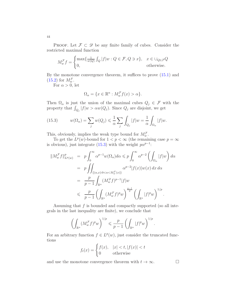PROOF. Let  $\mathcal{F} \subset \mathscr{D}$  be any finite family of cubes. Consider the restricted maximal function

$$
M_w^{\mathcal{F}} f = \begin{cases} \max \{ \frac{1}{w(Q)} \int_Q |f| w : Q \in \mathcal{F}, Q \ni x \}, & x \in \bigcup_{Q \in \mathcal{F}} Q \\ 0, & \text{otherwise.} \end{cases}
$$

By the monotone convergence theorem, it suffices to prove [\(15.1\)](#page-42-2) and  $(15.2)$  for  $M_w^{\mathcal{F}}$ .

For  $\alpha > 0$ , let

$$
\Omega_{\alpha} = \{ x \in \mathbb{R}^n : M_w^{\mathcal{F}} f(x) > \alpha \}.
$$

Then  $\Omega_{\alpha}$  is just the union of the maximal cubes  $Q_j \in \mathcal{F}$  with the property that  $\int_{Q_j} |f| w > \alpha w(Q_j)$ . Since  $Q_j$  are disjoint, we get

<span id="page-43-0"></span>(15.3) 
$$
w(\Omega_{\alpha}) = \sum_{j} w(Q_j) \leq \frac{1}{\alpha} \sum_{j} \int_{Q_j} |f| w = \frac{1}{\alpha} \int_{\Omega_{\alpha}} |f| w.
$$

This, obviously, implies the weak type bound for  $M_w^{\mathcal{F}}$ .

To get the  $L^p(w)$ -bound for  $1 < p < \infty$  (the remaining case  $p = \infty$ ) is obvious), just integrate [\(15.3\)](#page-43-0) with the weight  $p\alpha^{p-1}$ :

$$
\begin{split}\n\|M_w^{\mathcal{F}}f\|_{L^p(w)}^p &= p \int_0^\infty \alpha^{p-1} w(\Omega_\alpha) d\alpha \leqslant p \int_0^\infty \alpha^{p-2} \left(\int_{\Omega_\alpha} |f| w\right) d\alpha \\
&= p \iint_{\{(\alpha, x): 0 < \alpha < M_w^{\mathcal{F}}(x)\}} \alpha^{p-2} |f(x)| w(x) \, dx \, d\alpha \\
&= \frac{p}{p-1} \int_{\mathbb{R}^n} (M_w^{\mathcal{F}} f)^{p-1} |f| w \\
&\leqslant \frac{p}{p-1} \left(\int_{\mathbb{R}^n} (M_w^{\mathcal{F}} f)^p w\right)^{\frac{p-1}{p}} \left(\int_{\mathbb{R}^n} |f|^p w\right)^{1/p}.\n\end{split}
$$

Assuming that  $f$  is bounded and compactly supported (so all integrals in the last inequality are finite), we conclude that

$$
\left(\int_{\mathbb{R}^n} (M_w^{\mathcal{F}} f)^p w \right)^{1/p} \leqslant \frac{p}{p-1} \left(\int_{\mathbb{R}^n} |f|^p w \right)^{1/p}.
$$

For an arbitrary function  $f \in L^p(w)$ , just consider the truncated functions

$$
f_t(x) = \begin{cases} f(x), & |x| < t, |f(x)| < t \\ 0 & \text{otherwise} \end{cases}
$$

and use the monotone convergence theorem with  $t \to \infty$ .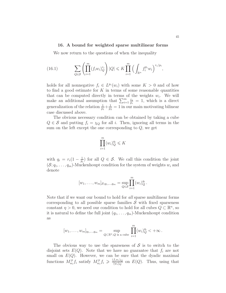# <span id="page-44-0"></span>16. A bound for weighted sparse multilinear forms

<span id="page-44-1"></span>We now return to the questions of when the inequality

(16.1) 
$$
\sum_{Q \in \mathcal{S}} \left( \prod_{i=1}^m (f_i w_i)_Q^{r_i} \right) |Q| \leqslant K \prod_{i=1}^m \left( \int_{\mathbb{R}^n} f_i^{p_i} w_i \right)^{r_i/p_i},
$$

holds for all nonnegative  $f_i \in L^{p_i}(w_i)$  with some  $K > 0$  and of how to find a good estimate for  $K$  in terms of some reasonable quantities that can be computed directly in terms of the weights  $w_i$ . We will make an additional assumption that  $\sum_{i=1}^{m} \frac{r_i}{p_i}$  $\frac{r_i}{p_i} = 1$ , which is a direct generalization of the relation  $\frac{1}{p_1} + \frac{1}{p_2}$  $\frac{1}{p_2} = 1$  in our main motivating bilinear case discussed above.

The obvious necessary condition can be obtained by taking a cube  $Q \in \mathcal{S}$  and putting  $f_i = \chi_Q$  for all i. Then, ignoring all terms in the sum on the left except the one corresponding to  $Q$ , we get

$$
\prod_{i=1}^{m} (w_i)_Q^{q_i} \leqslant K
$$

with  $q_i = r_i(1 - \frac{1}{n})$  $\frac{1}{p_i}$  for all  $Q \in \mathcal{S}$ . We call this condition the joint  $(S; q_1, \ldots, q_m)$ -Muckenhoupt condition for the system of weights  $w_i$  and denote

$$
[w_1, \ldots, w_m]_{S; q_1, \ldots, q_m} = \sup_{Q \in S} \prod_{i=1}^m (w_i)_{Q}^{q_i}.
$$

Note that if we want our bound to hold for *all* sparse multilinear forms corresponding to all possible sparse families  $S$  with fixed sparseness constant  $\eta > 0$ , we need our condition to hold for all cubes  $Q \subset \mathbb{R}^n$ , so it is natural to define the full joint  $(q_1, \ldots, q_m)$ -Muckenhoupt condition as

$$
[w_1, \ldots, w_m]_{q_1, \ldots, q_m} = \sup_{Q \subset \mathbb{R}^n, Q \text{ is a cube}} \prod_{i=1}^m (w_i)_{Q}^{q_i} < +\infty.
$$

The obvious way to use the sparseness of  $\mathcal S$  is to switch to the disjoint sets  $E(Q)$ . Note that we have no guarantee that  $f_i$  are not small on  $E(Q)$ . However, we can be sure that the dyadic maximal functions  $M_{w_i}^{\mathscr{D}} f_i$  satisfy  $M_{w_i}^{\mathscr{D}} f_i \geq \frac{(f_i w_i)_{Q_i}}{(w_i)_{Q_i}}$  $\frac{U_i w_i Q}{(w_i)_Q}$  on  $E(Q)$ . Thus, using that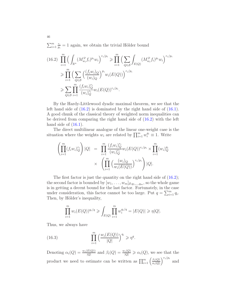$\sum_{i=1}^m \frac{r_i}{p_i}$  $\frac{r_i}{p_i} = 1$  again, we obtain the trivial Hölder bound

<span id="page-45-0"></span>
$$
(16.2) \prod_{i=1}^{m} \Big( \int_{\mathbb{R}^n} (M_{w_i}^{\mathcal{D}} f_i)^{p_i} w_i \Big)^{r_i/p_i} \geq \prod_{i=1}^{m} \Big( \sum_{Q \in \mathcal{S}} \int_{E(Q)} (M_{w_i}^{\mathcal{D}} f_i)^{p_i} w_i \Big)^{r_i/p_i}
$$
  

$$
\geq \prod_{i=1}^{m} \Big( \sum_{Q \in \mathcal{S}} \Big( \frac{(f_i w_i)_Q}{(w_i)_Q} \Big)^{p_i} w_i(E(Q)) \Big)^{r_i/p_i}
$$
  

$$
\geq \sum_{Q \in \mathcal{S}} \prod_{i=1}^{m} \frac{(f_i w_i)_{Q}^{r_i}}{(w_i)_{Q}^{r_i}} w_i(E(Q))^{r_i/p_i}.
$$

By the Hardy-Littlewood dyadic maximal theorem, we see that the left hand side of [\(16.2\)](#page-45-0) is dominated by the right hand side of [\(16.1\)](#page-44-1). A good chunk of the classical theory of weighted norm inequalities can be derived from comparing the right hand side of [\(16.2\)](#page-45-0) with the left hand side of  $(16.1)$ .

The direct multilinear analogue of the linear one-weight case is the situation where the weights  $w_i$  are related by  $\prod_{i=1}^m w_i^{q_i} \equiv 1$ . Write

$$
\left(\prod_{i=1}^{m} (f_i w_i)_{Q}^{r_i}\right) |Q| = \prod_{i=1}^{m} \frac{(f_i w_i)_{Q}^{r_i}}{(w_i)_{Q}^{r_i}} w_i (E(Q))^{r_i/p_i} \times \prod_{i=1}^{m} (w_i)_{Q}^{q_i}
$$

$$
\times \left(\prod_{i=1}^{m} \left(\frac{(w_i)_{Q}}{w_i (E(Q))}\right)^{r_i/p_i}\right) |Q|.
$$

The first factor is just the quantity on the right hand side of  $(16.2)$ ; the second factor is bounded by  $[w_1, \ldots, w_m]_{\mathcal{S};q_1,\ldots,q_m}$ , so the whole game is in getting a decent bound for the last factor. Fortunately, in the case under consideration, this factor cannot be too large. Put  $q = \sum_{i=1}^{m} q_i$ . Then, by Hölder's inequality,

<span id="page-45-1"></span>
$$
\prod_{i=1}^{m} w_i (E(Q))^{q_i/q} \geqslant \int_{E(Q)} \prod_{i=1}^{m} w_i^{q_i/q} = |E(Q)| \geqslant \eta |Q|.
$$

Thus, we always have

(16.3) 
$$
\prod_{i=1}^{m} \left( \frac{w_i(E(Q))}{|Q|} \right)^{q_i} \geqslant \eta^q.
$$

Denoting  $\alpha_i(Q) = \frac{w_i(E(Q))}{|Q|}$  and  $\beta_i(Q) = \frac{w_i(Q)}{|Q|} \geq \alpha_i(Q)$ , we see that the product we need to estimate can be written as  $\prod_{i=1}^{m} \left( \frac{\beta_i(Q)}{\alpha_i(Q)} \right)$  $\alpha_i(Q)$  $\int_0^{r_i/p_i}$  and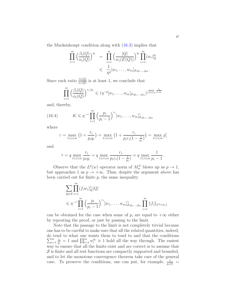the Muckenhoupt condition along with [\(16.3\)](#page-45-1) implies that

$$
\prod_{i=1}^{m} \left( \frac{\beta_i(Q)}{\alpha_i(Q)} \right)^{q_i} = \prod_{i=1}^{m} \left( \frac{|Q|}{w_i(E(Q))} \right)^{q_i} \prod_{i=1}^{m} (w_i)^{q_i}
$$
  

$$
\leq \frac{1}{\eta^q} [w_1, \dots, w_m]_{S; q_1, \dots, q_m}.
$$

Since each ratio  $\frac{\beta_i(Q)}{\alpha_i(Q)}$  is at least 1, we conclude that

$$
\prod_{i=1}^m \left(\frac{\beta_i(Q)}{\alpha_i(Q)}\right)^{r_i/p_i} \leqslant (\eta^{-q}[w_1,\ldots,w_m]_{S;q_1,\ldots,q_m})^{\max\limits_{1\leqslant i\leqslant m}\frac{r_i}{p_iq_i}}
$$

and, thereby,

(16.4) 
$$
K \leq \eta^{-\tau} \prod_{i=1}^{m} \left( \frac{p_i}{p_i - 1} \right)^{r_i} [w_1, \dots, w_m]_{\mathcal{S}; q_1, \dots, q_m}^{\gamma}
$$

where

<span id="page-46-0"></span>
$$
\gamma = \max_{1 \le i \le m} \left( 1 + \frac{r_i}{p_i q_i} \right) = \max_{1 \le i \le m} \left( 1 + \frac{r_i}{p_i r_i (1 - \frac{1}{p_i})} \right) = \max_{1 \le i \le m} p'_i
$$

and

$$
\tau = q \max_{1 \le i \le m} \frac{r_i}{p_i q_i} = q \max_{1 \le i \le m} \frac{r_i}{p_i r_i (1 - \frac{1}{p_i})} = q \max_{1 \le i \le m} \frac{1}{p_i - 1}.
$$

Observe that the  $L^p(w)$  operator norm of  $M_w^{\mathscr{D}}$  blows up as  $p \to 1$ , but approaches 1 as  $p \to +\infty$ . Thus, despite the argument above has been carried out for finite  $p$ , the same inequality

$$
\sum_{Q \in S} \prod_{i=1}^{m} (f_i w_i)^{r_i} |Q|
$$
\n
$$
\leq \eta^{-\tau} \prod_{i=1}^{m} \left(\frac{p_i}{p_i - 1}\right)^{r_i} [w_1, \dots, w_m]_{S; q_1, \dots, q_m}^{\gamma} \prod_{i=1}^{m} ||f_i||_{L^{p_i}(w_i)}
$$

can be obtained for the case when some of  $p_i$  are equal to  $+\infty$  either by repeating the proof, or just by passing to the limit.

Note that the passage to the limit is not completely trivial because one has to be careful to make sure that all the related quantities, indeed, do tend to what one wants them to tend to and that the conditions  $\sum_{i=1}^m \frac{r_i}{p_i}$  $\frac{r_i}{p_i} = 1$  and  $\prod_{i=1}^m w_i^{q_i} \equiv 1$  hold all the way through. The easiest way to ensure that all the limits exist and are correct is to assume that S is finite and all test functions are compactly supported and bounded, and to let the monotone convergence theorem take care of the general case. To preserve the conditions, one can put, for example,  $\frac{1}{p_i(t)}$  =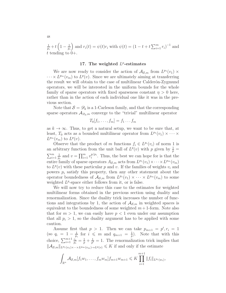1  $\frac{1}{p_i} + t \left( 1 - \frac{1}{p_i} \right)$ pi ) and  $r_i(t) = \psi(t)r_i$  with  $\psi(t) = (1 - t + t \sum_{i=1}^m r_i)^{-1}$  and t tending to  $0+$ .

# 17. The weighted  $L^p$ -estimates

<span id="page-47-0"></span>We are now ready to consider the action of  $\mathcal{A}_{\mathcal{S},m}$  from  $L^{p_1}(v_1) \times$  $\cdots \times L^{p_m}(v_m)$  to  $L^p(v)$ . Since we are ultimately aiming at transferring the result we will obtain to the case of multilinear Calderon-Zygmund operators, we will be interested in the uniform bounds for the whole family of sparse operators with fixed sparseness constant  $\eta > 0$  here, rather than in the action of each individual one like it was in the previous section.

Note that  $S = \mathcal{D}_k$  is a 1-Carleson family, and that the corresponding sparse operators  $\mathcal{A}_{\mathscr{D}_k,m}$  converge to the "trivial" multilinear operator

$$
T_0[f_1,\ldots,f_m]=f_1\ldots f_m
$$

as  $k \to \infty$ . Thus, to get a natural setup, we want to be sure that, at least,  $T_0$  acts as a bounded multilinear operator from  $L^{p_1}(v_1) \times \cdots \times$  $L^{p_m}(v_m)$  to  $L^p(v)$ .

Observe that the product of m functions  $f_i \in L^{p_i}(v_i)$  of norm 1 is an arbitrary function from the unit ball of  $L^p(v)$  with p given by  $\frac{1}{p}$  =  $\sum_{i=1}^m$ 1  $\frac{1}{p_i}$  and  $v = \prod_{i=1}^m v_i^{p/p_i}$  $i^{p/p_i}$ . Thus, the best we can hope for is that the entire family of sparse operators  $A_{\mathcal{S},m}$  acts from  $L^{p_1}(v_1) \times \cdots \times L^{p_m}(v_m)$ to  $L^p(v)$  with these particular p and v. If the families of weights  $v_i$  and powers  $p_i$  satisfy this property, then any other statement about the operator boundedness of  $\mathcal{A}_{\mathcal{S},m}$  from  $L^{p_1}(v_1) \times \cdots \times L^{p_m}(v_m)$  to some weighted  $L^p$ -space either follows from it, or is false.

We will now try to reduce this case to the estimates for weighted multilinear forms obtained in the previous section using duality and renormalization. Since the duality trick increases the number of functions and integrations by 1, the action of  $A_{\mathcal{S},m}$  in weighted spaces is equivalent to the boundedness of some weighted  $m+1$ -form. Note also that for  $m > 1$ , we can easily have  $p < 1$  even under our assumption that all  $p_i > 1$ , so the duality argument has to be applied with some caution.

Assume first that  $p > 1$ . Then we can take  $p_{m+1} = p', r_i = 1$  $(\text{so } q_i = 1 - \frac{1}{n_i})$  $\frac{1}{p_i}$  for  $i \leqslant m$  and  $q_{m+1} = \frac{1}{p}$  $(\frac{1}{p})$ . Note that with this choice,  $\sum_{i=1}^{m+1} \frac{r_i}{p_i}$  $\frac{r_i}{p_i} = \frac{1}{p} + \frac{1}{p'}$  $\frac{1}{p'} = 1$ . The renormalization trick implies that  $\|\mathcal{A}_{\mathcal{S},m}\|_{L^{p_1}(v_1)\times\cdots\times L^{p_m}(v_m)\to L^{p}(v)}\leqslant K$  if and only if the estimate

$$
\int_{\mathbb{R}^n} \mathcal{A}_{\mathcal{S},m}[f_1 w_1,\ldots,f_m w_m] f_{m+1} w_{m+1} \leqslant K \prod_{i=1}^{m+1} \|f_i\|_{L^{p_i}(w_i)},
$$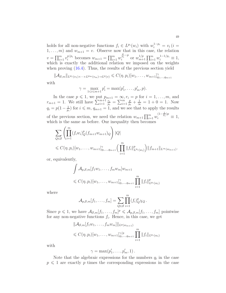holds for all non-negative functions  $f_i \in L^{p_i}(w_i)$  with  $w_i^{1-p_i} = v_i$   $(i =$  $1, \ldots, m$  and  $w_{m+1} = v$ . Observe now that in this case, the relation  $v = \prod_{i=1}^{m} v_i^{p/p_i}$  becomes  $w_{m+1} = \prod_{i=1}^{m} w_i$  $\frac{p}{p_i} - p$  $\frac{1}{p_i-p}$  or  $w_{m+1}^{1/p} \prod_{i=1}^m w_i^{1-1/p_i} \equiv 1$ , which is exactly the additional relation we imposed on the weights when proving [\(16.4\)](#page-46-0). Thus, the results of the previous section yield

 $||\mathcal{A}_{\mathcal{S},m}||_{L^{p_1}(v_1)\times\cdots\times L^{p_m}(v_m)\to L^{p}(v)} \leq C(\eta,p_i)[w_1,\ldots,w_{m+1}]^{\gamma}_{q_1,\ldots,q_{m+1}}$ 

with

$$
\gamma = \max_{1 \leq i \leq m+1} p'_i = \max(p'_1, \dots, p'_m, p).
$$

In the case  $p \leq 1$ , we put  $p_{m+1} = \infty$ ,  $r_i = p$  for  $i = 1, ..., m$ , and  $r_{m+1} = 1$ . We still have  $\sum_{i=1}^{m+1} \frac{r_i}{p_i}$  $\frac{r_i}{p_i} = \sum_{i=1}^m$ p  $\frac{p}{p_i} + \frac{1}{\infty} = 1 + 0 = 1$ . Now  $q_i = p(1 - \frac{1}{n})$  $\frac{1}{p_i}$  for  $i \leq m$ ,  $q_{m+1} = 1$ , and we see that to apply the results of the previous section, we need the relation  $w_{m+1} \prod_{i=1}^{m} w_i^{(1-\frac{1}{p_i})p} \equiv 1$ , which is the same as before. Our inequality then becomes

$$
\sum_{Q \in \mathcal{S}} \left( \prod_{i=1}^m (f_i w_i)_Q^p (f_{m+1} w_{m+1})_Q \right) |Q|
$$
  
\$\leq C(\eta, p\_i)[w\_1, \dots, w\_{m+1}]\_{q\_1, \dots, q\_{m+1}}^{\gamma} \left( \prod\_{i=1}^m ||f\_i||\_{L^{p\_i}(w\_i)}^p \right) ||f\_{m+1}||\_{L^{\infty}(w\_{m+1})}.

or, equivalently,

$$
\int A_{p,S,m}[f_1w_1,\ldots,f_mw_m]w_{m+1}
$$
\n
$$
\leq C(\eta,p_i)[w_1,\ldots,w_{m+1}]_{q_1,\ldots,q_{m+1}}^{\gamma}\prod_{i=1}^m \|f_i\|_{L^{p_i}(w_i)}^p
$$

where

$$
\mathcal{A}_{p,S,m}[f_1,\ldots,f_m]=\sum_{Q\in\mathcal{S}}\prod_{i=1}^m(f_i)_Q^p\chi_Q.
$$

Since  $p \leq 1$ , we have  $\mathcal{A}_{\mathcal{S},m}[f_1,\ldots,f_m]^p \leq \mathcal{A}_{p,\mathcal{S},m}[f_1,\ldots,f_m]$  pointwise for any non-negative functions  $f_i$ . Hence, in this case, we get

$$
||\mathcal{A}_{\mathcal{S},m}[f_1 w_1,\ldots,f_m w_m]||_{L^p(w_{m+1})}
$$
  
\$\leq C(\eta,p\_i)[w\_1,\ldots,w\_{m+1}]\_{q\_1,\ldots,q\_{m+1}}^{\gamma/p} \prod\_{i=1}^m ||f\_i||\_{L^{p\_i}(w\_i)}

with

$$
\gamma = \max(p'_1, \ldots, p'_m, 1).
$$

Note that the algebraic expressions for the numbers  $q_i$  in the case  $p \leq 1$  are exactly p times the corresponding expressions in the case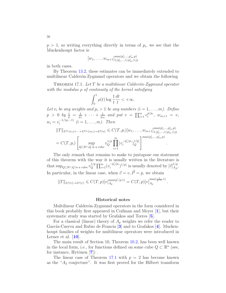<span id="page-49-1"></span> $p > 1$ , so writing everything directly in terms of  $p_i$ , we see that the Muckenhoupt factor is

$$
[w_1, \ldots, w_{m+1}]_{1/p'_1, \ldots, 1/p'_m, 1/p'}^{\max(p'_1, \ldots, p'_m, p)}
$$

in both cases.

By Theorem [13.2,](#page-40-0) these estimates can be immediately extended to multilinear Calderón-Zygmund operators and we obtain the following

<span id="page-49-0"></span>Theorem 17.1. *Let* T *be a multilinear Calder´on-Zygmund operator with the modulus* ρ *of continuity of the kernel satisfying*

$$
\int_0^1 \rho(t) \log \frac{1}{t} \frac{dt}{t} < +\infty.
$$

Let  $v_i$  be any weights and  $p_i > 1$  be any numbers  $(i = 1, \ldots, m)$ . Define  $p > 0$  by  $\frac{1}{p} = \frac{1}{p_1}$  $\frac{1}{p_1} + \cdots + \frac{1}{p_n}$  $\frac{1}{p_m}$  and put  $v = \prod_{i=1}^m v_i^{p/p_i}$  $\int_i^{p/p_i}, w_{m+1} = v,$  $w_i = v_i^{-1/(p_i-1)}$  $i^{-(1/(p_i-1)}$   $(i = 1, \ldots, m)$ . Then

$$
||T||_{L^{p_1}(v_1)\times\cdots\times L^{p_m}(v_m)\to L^{p}(v)} \leq C(T, p_i)[w_1, \ldots, w_{m+1}]_{1/p'_1,\ldots,1/p'_m,1/p'}^{\max(p'_1,\ldots,p'_m,p)} = C(T, p_i) \left[\sup_{Q\subset\mathbb{R}^n,Q} v_Q^{1/p} \prod_{i=1}^m (v_i^{-p'_i/p_i})_Q^{1/p'_i}\right]^{\max(p'_1,\ldots,p'_m,p)}.
$$

The only remark that remains to make to juxtapose our statement of this theorem with the way it is usually written in the literature is that  $\sup_{Q \subset \mathbb{R}^n, Q}$  is a cube  $v^{1/p}_Q$  $\prod_{i=1}^{1/p} \prod_{i=1}^{n} (v_i^{-p'_i/p_i})$  $\int_i^{-p'_i/p_i})^{1/p'_i}$  is usually denoted by  $[\vec{v}]_{A_{\vec{P}}}^{1/p_i}$  $^{1/p}_{A_{\vec{P}}}$ . In particular, in the linear case, when  $\vec{v} = v, \vec{P} = p$ , we obtain

$$
||T||_{L^{p}(v)\to L^{p}(v)} \leq C(T,p)[v]_{A_p}^{\max(p'/p,1)} = C(T,p)[v]_{A_p}^{\max(\frac{1}{p-1},1)}
$$

.

#### Historical notes

Multilinear Calderón-Zygmund operators in the form considered in this book probably first appeared in Coifman and Meyer [[1](#page-52-4)], but their systematic study was started by Grafakos and Torres [[5](#page-52-5)].

For a classical (linear) theory of  $A_p$  weights we refer the reader to García-Cuerva and Rubio de Francia  $\mathbf{3}$  $\mathbf{3}$  $\mathbf{3}$  and to Grafakos  $\mathbf{4}$  $\mathbf{4}$  $\mathbf{4}$ . Muckenhoupt families of weights for multilinear operators were introduced in Lerner et al.  $[10]$  $[10]$  $[10]$ .

The main result of Section 10, Theorem [10.2,](#page-33-2) has been well known in the local form, i.e., for functions defined on some cube  $Q \subset \mathbb{R}^n$  (see, for instance, Hytönen  $[7]$  $[7]$  $[7]$ .

The linear case of Theorem [17.1](#page-49-0) with  $p = 2$  has become known as the " $A_2$  conjecture". It was first proved for the Hilbert transform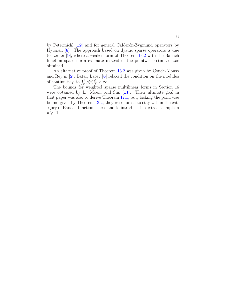<span id="page-50-0"></span>by Petermichl  $[12]$  $[12]$  $[12]$  and for general Calderón-Zygmund operators by Hytönen  $[6]$  $[6]$  $[6]$ . The approach based on dyadic sparse operators is due to Lerner [[9](#page-52-10)], where a weaker form of Theorem [13.2](#page-40-0) with the Banach function space norm estimate instead of the pointwise estimate was obtained.

An alternative proof of Theorem [13.2](#page-40-0) was given by Conde-Alonso and Rey in [[2](#page-52-11)]. Later, Lacey [[8](#page-52-12)] relaxed the condition on the modulus of continuity  $\rho$  to  $\int_0^1 \rho(t) \frac{dt}{t} < \infty$ .

The bounds for weighted sparse multilinear forms in Section 16 were obtained by Li, Moen, and Sun [[11](#page-52-13)]. Their ultimate goal in that paper was also to derive Theorem [17.1,](#page-49-0) but, lacking the pointwise bound given by Theorem [13.2,](#page-40-0) they were forced to stay within the category of Banach function spaces and to introduce the extra assumption  $p \geqslant 1$ .